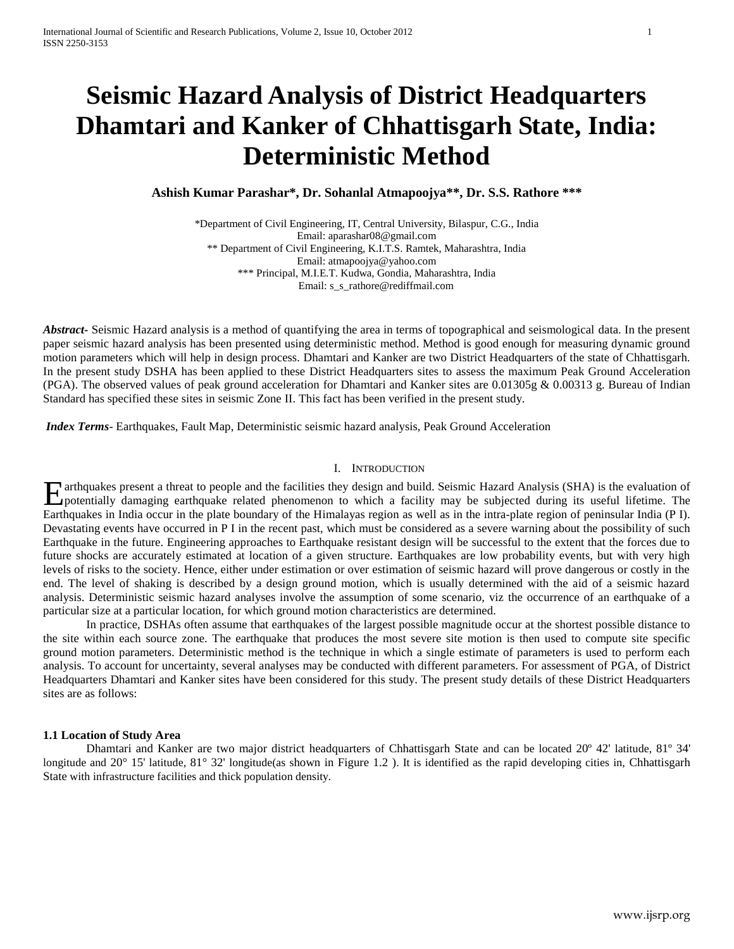# **Seismic Hazard Analysis of District Headquarters Dhamtari and Kanker of Chhattisgarh State, India: Deterministic Method**

**Ashish Kumar Parashar\*, Dr. Sohanlal Atmapoojya\*\*, Dr. S.S. Rathore \*\*\***

\*Department of Civil Engineering, IT, Central University, Bilaspur, C.G., India Email: [aparashar08@gmail.com](https://profiles.google.com/?hl=en) \*\* Department of Civil Engineering, K.I.T.S. Ramtek, Maharashtra, India Email: [atmapoojya@yahoo.com](mailto:atmapoojya@yahoo.com) \*\*\* Principal, M.I.E.T. Kudwa, Gondia, Maharashtra, India Email: s\_s\_rathore@rediffmail.com

*Abstract***-** Seismic Hazard analysis is a method of quantifying the area in terms of topographical and seismological data. In the present paper seismic hazard analysis has been presented using deterministic method. Method is good enough for measuring dynamic ground motion parameters which will help in design process. Dhamtari and Kanker are two District Headquarters of the state of Chhattisgarh. In the present study DSHA has been applied to these District Headquarters sites to assess the maximum Peak Ground Acceleration (PGA). The observed values of peak ground acceleration for Dhamtari and Kanker sites are  $0.01305g \& 0.00313g$ . Bureau of Indian Standard has specified these sites in seismic Zone II. This fact has been verified in the present study.

*Index Terms*- Earthquakes, Fault Map, Deterministic seismic hazard analysis, Peak Ground Acceleration

### I. INTRODUCTION

arthquakes present a threat to people and the facilities they design and build. Seismic Hazard Analysis (SHA) is the evaluation of **Example 18** arthquakes present a threat to people and the facilities they design and build. Seismic Hazard Analysis (SHA) is the evaluation of potentially damaging earthquake related phenomenon to which a facility may be Earthquakes in India occur in the plate boundary of the Himalayas region as well as in the intra-plate region of peninsular India (P I). Devastating events have occurred in P I in the recent past, which must be considered as a severe warning about the possibility of such Earthquake in the future. Engineering approaches to Earthquake resistant design will be successful to the extent that the forces due to future shocks are accurately estimated at location of a given structure. Earthquakes are low probability events, but with very high levels of risks to the society. Hence, either under estimation or over estimation of seismic hazard will prove dangerous or costly in the end. The level of shaking is described by a design ground motion, which is usually determined with the aid of a seismic hazard analysis. Deterministic seismic hazard analyses involve the assumption of some scenario, viz the occurrence of an earthquake of a particular size at a particular location, for which ground motion characteristics are determined.

In practice, DSHAs often assume that earthquakes of the largest possible magnitude occur at the shortest possible distance to the site within each source zone. The earthquake that produces the most severe site motion is then used to compute site specific ground motion parameters. Deterministic method is the technique in which a single estimate of parameters is used to perform each analysis. To account for uncertainty, several analyses may be conducted with different parameters. For assessment of PGA, of District Headquarters Dhamtari and Kanker sites have been considered for this study. The present study details of these District Headquarters sites are as follows:

#### **1.1 Location of Study Area**

Dhamtari and Kanker are two major district headquarters of Chhattisgarh State and can be located 20º 42' latitude, 81º 34' longitude and 20° 15' latitude, 81° 32' longitude(as shown in Figure 1.2). It is identified as the rapid developing cities in, Chhattisgarh State with infrastructure facilities and thick population density.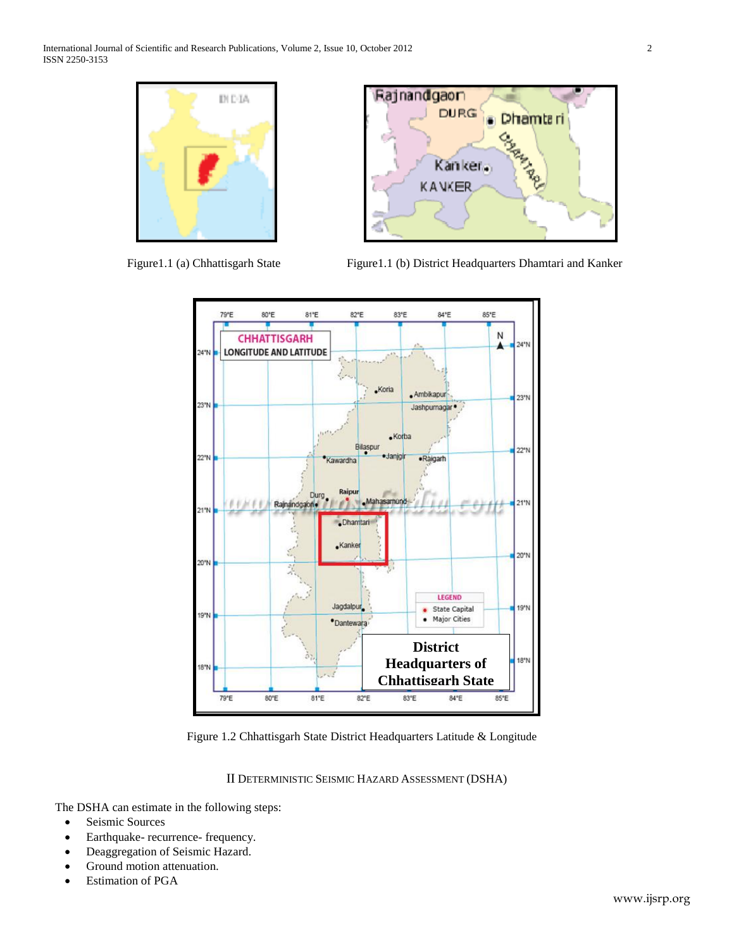



Figure1.1 (a) Chhattisgarh State Figure1.1 (b) District Headquarters Dhamtari and Kanker



Figure 1.2 Chhattisgarh State District Headquarters Latitude & Longitude

### II DETERMINISTIC SEISMIC HAZARD ASSESSMENT (DSHA)

The DSHA can estimate in the following steps:

- Seismic Sources
- Earthquake- recurrence- frequency.
- Deaggregation of Seismic Hazard.
- Ground motion attenuation.
- Estimation of PGA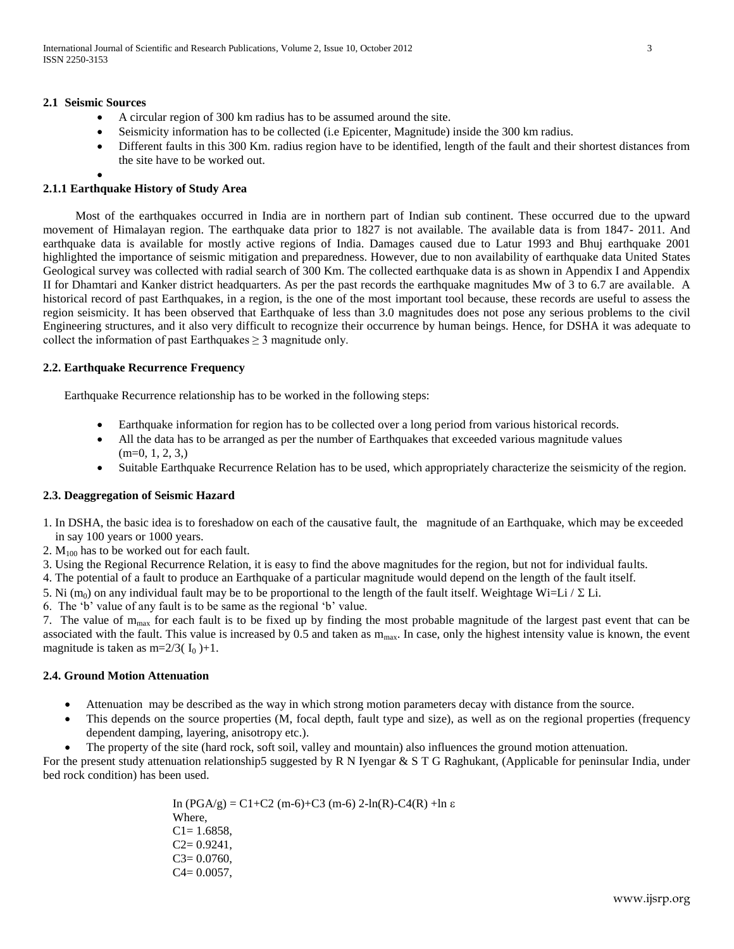### **2.1 Seismic Sources**

- A circular region of 300 km radius has to be assumed around the site.
- Seismicity information has to be collected (i.e Epicenter, Magnitude) inside the 300 km radius.
- Different faults in this 300 Km. radius region have to be identified, length of the fault and their shortest distances from the site have to be worked out.

### $\bullet$ **2.1.1 Earthquake History of Study Area**

Most of the earthquakes occurred in India are in northern part of Indian sub continent. These occurred due to the upward movement of Himalayan region. The earthquake data prior to 1827 is not available. The available data is from 1847- 2011. And earthquake data is available for mostly active regions of India. Damages caused due to Latur 1993 and Bhuj earthquake 2001 highlighted the importance of seismic mitigation and preparedness. However, due to non availability of earthquake data United States Geological survey was collected with radial search of 300 Km. The collected earthquake data is as shown in Appendix I and Appendix II for Dhamtari and Kanker district headquarters. As per the past records the earthquake magnitudes Mw of 3 to 6.7 are available. A historical record of past Earthquakes, in a region, is the one of the most important tool because, these records are useful to assess the region seismicity. It has been observed that Earthquake of less than 3.0 magnitudes does not pose any serious problems to the civil Engineering structures, and it also very difficult to recognize their occurrence by human beings. Hence, for DSHA it was adequate to collect the information of past Earthquakes  $\geq 3$  magnitude only.

### **2.2. Earthquake Recurrence Frequency**

Earthquake Recurrence relationship has to be worked in the following steps:

- Earthquake information for region has to be collected over a long period from various historical records.
- All the data has to be arranged as per the number of Earthquakes that exceeded various magnitude values  $(m=0, 1, 2, 3)$
- Suitable Earthquake Recurrence Relation has to be used, which appropriately characterize the seismicity of the region.

### **2.3. Deaggregation of Seismic Hazard**

- 1. In DSHA, the basic idea is to foreshadow on each of the causative fault, the magnitude of an Earthquake, which may be exceeded in say 100 years or 1000 years.
- 2.  $M_{100}$  has to be worked out for each fault.
- 3. Using the Regional Recurrence Relation, it is easy to find the above magnitudes for the region, but not for individual faults.
- 4. The potential of a fault to produce an Earthquake of a particular magnitude would depend on the length of the fault itself.
- 5. Ni (m<sub>0</sub>) on any individual fault may be to be proportional to the length of the fault itself. Weightage Wi=Li /  $\Sigma$  Li.

6. The "b" value of any fault is to be same as the regional "b" value.

7. The value of  $m_{max}$  for each fault is to be fixed up by finding the most probable magnitude of the largest past event that can be associated with the fault. This value is increased by  $0.5$  and taken as  $m_{max}$ . In case, only the highest intensity value is known, the event magnitude is taken as m= $2/3$ ( $I_0$ )+1.

### **2.4. Ground Motion Attenuation**

- Attenuation may be described as the way in which strong motion parameters decay with distance from the source.
- This depends on the source properties (M, focal depth, fault type and size), as well as on the regional properties (frequency dependent damping, layering, anisotropy etc.).
- The property of the site (hard rock, soft soil, valley and mountain) also influences the ground motion attenuation.

For the present study attenuation relationship5 suggested by R N Iyengar & S T G Raghukant, (Applicable for peninsular India, under bed rock condition) has been used.

> In (PGA/g) = C1+C2 (m-6)+C3 (m-6) 2-ln(R)-C4(R) +ln ε Where,  $C1 = 1.6858$ ,  $C2 = 0.9241$ ,  $C3 = 0.0760$ ,  $C4 = 0.0057$ ,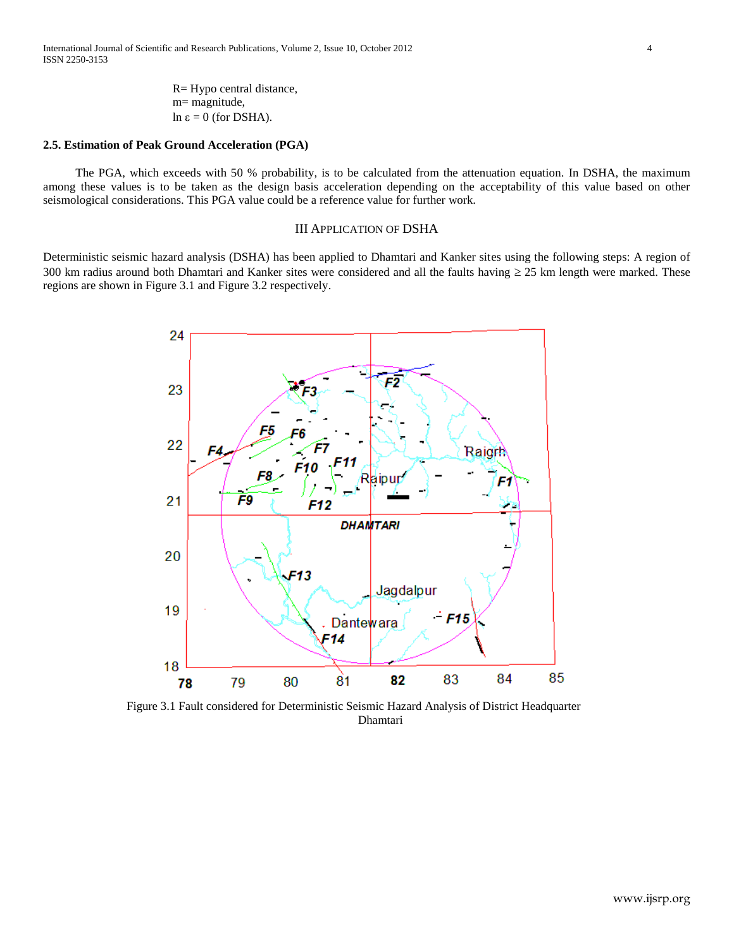R= Hypo central distance, m= magnitude,  $\ln \varepsilon = 0$  (for DSHA).

### **2.5. Estimation of Peak Ground Acceleration (PGA)**

The PGA, which exceeds with 50 % probability, is to be calculated from the attenuation equation. In DSHA, the maximum among these values is to be taken as the design basis acceleration depending on the acceptability of this value based on other seismological considerations. This PGA value could be a reference value for further work.

### III APPLICATION OF DSHA

Deterministic seismic hazard analysis (DSHA) has been applied to Dhamtari and Kanker sites using the following steps: A region of 300 km radius around both Dhamtari and Kanker sites were considered and all the faults having  $\geq$  25 km length were marked. These regions are shown in Figure 3.1 and Figure 3.2 respectively.



 Figure 3.1 Fault considered for Deterministic Seismic Hazard Analysis of District Headquarter Dhamtari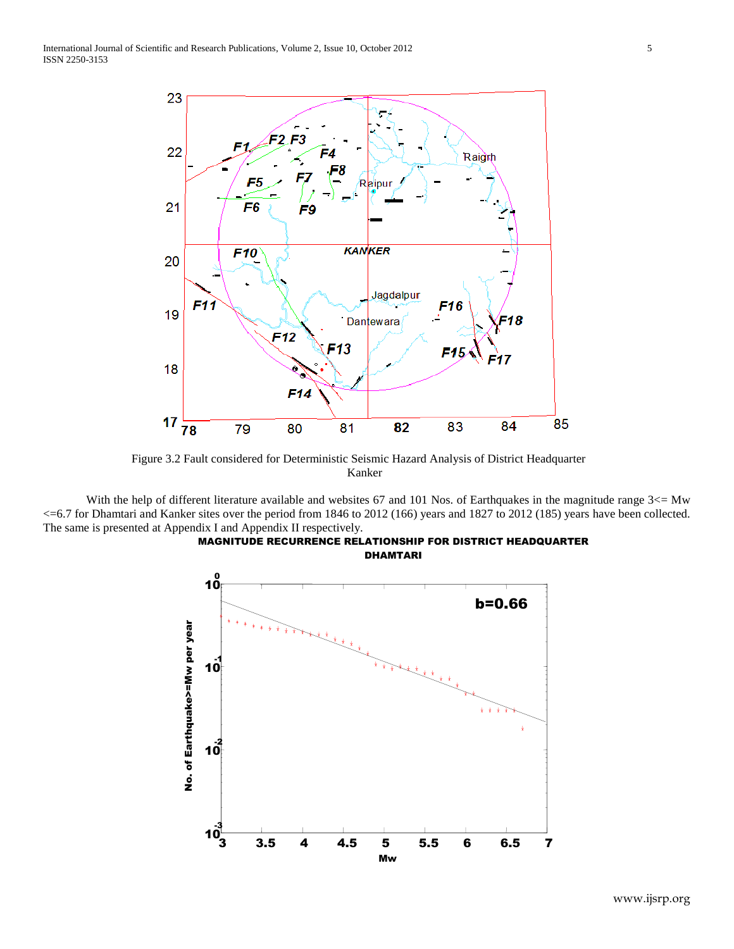

 Figure 3.2 Fault considered for Deterministic Seismic Hazard Analysis of District Headquarter Kanker

With the help of different literature available and websites 67 and 101 Nos. of Earthquakes in the magnitude range 3 <= Mw <=6.7 for Dhamtari and Kanker sites over the period from 1846 to 2012 (166) years and 1827 to 2012 (185) years have been collected. The same is presented at Appendix I and Appendix II respectively.



MAGNITUDE RECURRENCE RELATIONSHIP FOR DISTRICT HEADQUARTER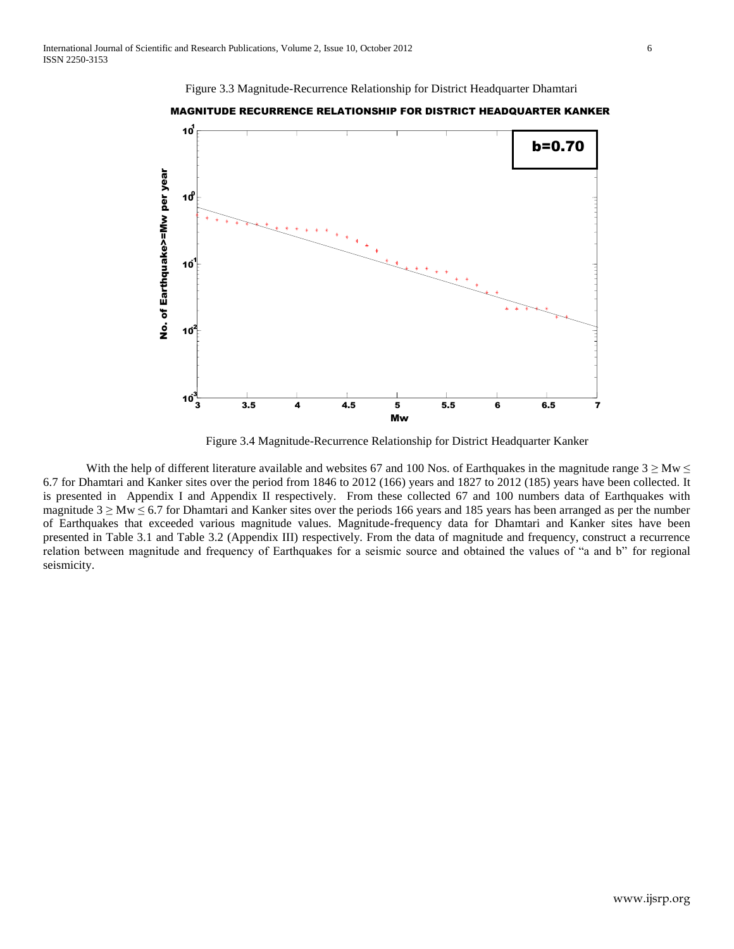



MAGNITUDE RECURRENCE RELATIONSHIP FOR DISTRICT HEADQUARTER KANKER

Figure 3.4 Magnitude-Recurrence Relationship for District Headquarter Kanker

With the help of different literature available and websites 67 and 100 Nos. of Earthquakes in the magnitude range  $3 \geq Mw \leq$ 6.7 for Dhamtari and Kanker sites over the period from 1846 to 2012 (166) years and 1827 to 2012 (185) years have been collected. It is presented in Appendix I and Appendix II respectively. From these collected 67 and 100 numbers data of Earthquakes with magnitude  $3 \geq Mw \leq 6.7$  for Dhamtari and Kanker sites over the periods 166 years and 185 years has been arranged as per the number of Earthquakes that exceeded various magnitude values. Magnitude-frequency data for Dhamtari and Kanker sites have been presented in Table 3.1 and Table 3.2 (Appendix III) respectively. From the data of magnitude and frequency, construct a recurrence relation between magnitude and frequency of Earthquakes for a seismic source and obtained the values of "a and b" for regional seismicity.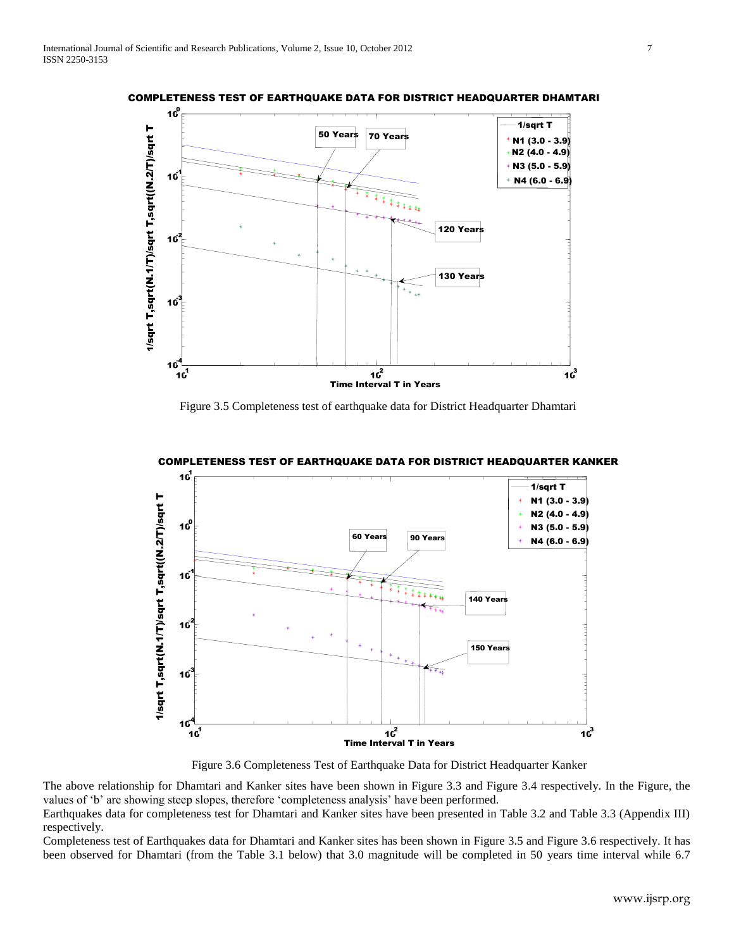

COMPLETENESS TEST OF EARTHQUAKE DATA FOR DISTRICT HEADQUARTER DHAMTARI

Figure 3.5 Completeness test of earthquake data for District Headquarter Dhamtari



COMPLETENESS TEST OF EARTHQUAKE DATA FOR DISTRICT HEADQUARTER KANKER

Figure 3.6 Completeness Test of Earthquake Data for District Headquarter Kanker

The above relationship for Dhamtari and Kanker sites have been shown in Figure 3.3 and Figure 3.4 respectively. In the Figure, the values of "b" are showing steep slopes, therefore "completeness analysis" have been performed.

Earthquakes data for completeness test for Dhamtari and Kanker sites have been presented in Table 3.2 and Table 3.3 (Appendix III) respectively.

Completeness test of Earthquakes data for Dhamtari and Kanker sites has been shown in Figure 3.5 and Figure 3.6 respectively. It has been observed for Dhamtari (from the Table 3.1 below) that 3.0 magnitude will be completed in 50 years time interval while 6.7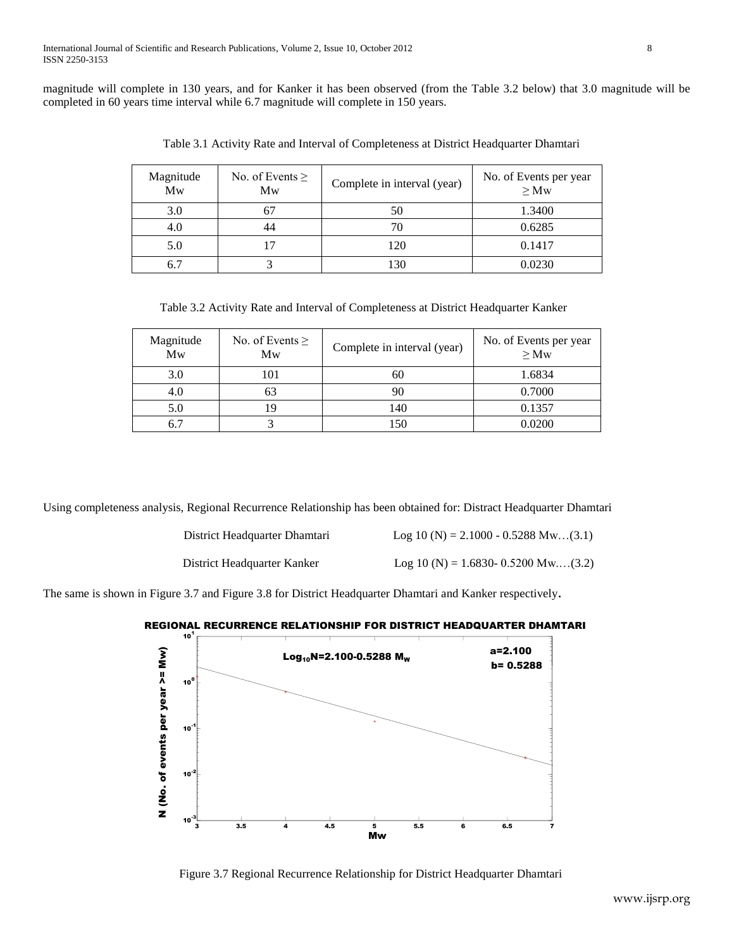magnitude will complete in 130 years, and for Kanker it has been observed (from the Table 3.2 below) that 3.0 magnitude will be completed in 60 years time interval while 6.7 magnitude will complete in 150 years.

| Magnitude<br>Mw | No. of Events $\geq$<br>Mw | Complete in interval (year) | No. of Events per year<br>$\geq Mw$ |
|-----------------|----------------------------|-----------------------------|-------------------------------------|
| 3.0             |                            | 50                          | 1.3400                              |
| 4.U             | 44                         |                             | 0.6285                              |
| 5.0             |                            | 120                         | 0.1417                              |
| 6.              |                            | 130                         | 0.0230                              |

Table 3.1 Activity Rate and Interval of Completeness at District Headquarter Dhamtari

Table 3.2 Activity Rate and Interval of Completeness at District Headquarter Kanker

| Magnitude<br>Mw | No. of Events $\geq$<br>Mw | Complete in interval (year) | No. of Events per year<br>$\geq Mw$ |
|-----------------|----------------------------|-----------------------------|-------------------------------------|
| 3.0             | 101                        | 60                          | 1.6834                              |
| 4.0             | b3                         | 90                          | 0.7000                              |
| 5.0             |                            | 140                         | 0.1357                              |
| 6.7             |                            | 150                         | 0.0200                              |

Using completeness analysis, Regional Recurrence Relationship has been obtained for: Distract Headquarter Dhamtari

| District Headquarter Dhamtari | Log 10 (N) = 2.1000 - 0.5288 Mw(3.1) |
|-------------------------------|--------------------------------------|
|-------------------------------|--------------------------------------|

District Headquarter Kanker Log 10 (N) = 1.6830- 0.5200 Mw....(3.2)

The same is shown in Figure 3.7 and Figure 3.8 for District Headquarter Dhamtari and Kanker respectively.

# REGIONAL RECURRENCE RELATIONSHIP FOR DISTRICT HEADQUARTER DHAMTARI



Figure 3.7 Regional Recurrence Relationship for District Headquarter Dhamtari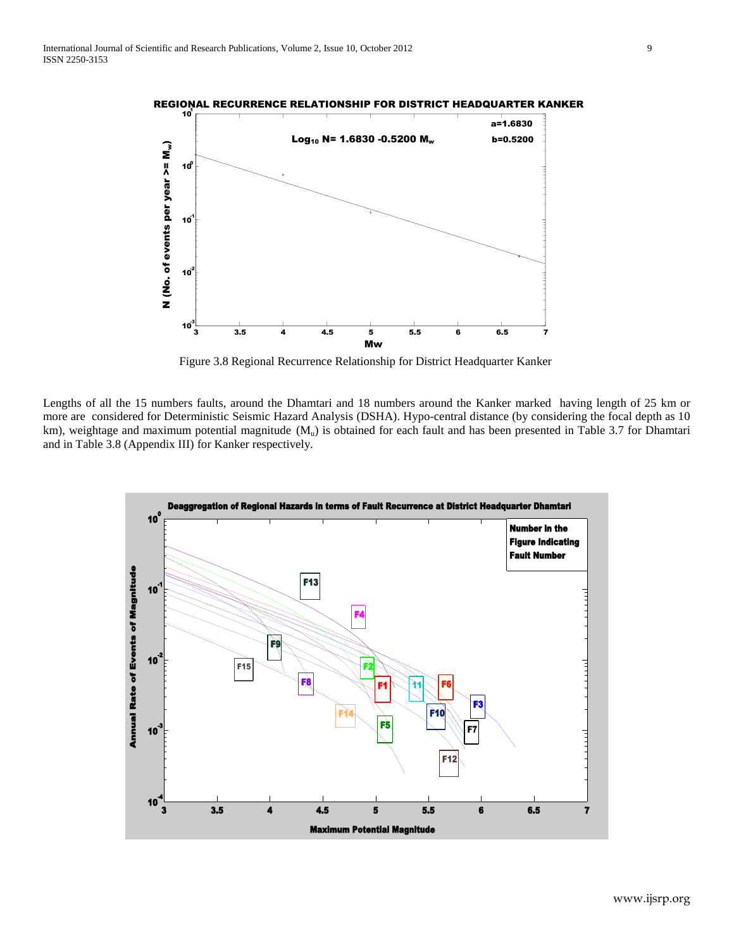



Figure 3.8 Regional Recurrence Relationship for District Headquarter Kanker

Lengths of all the 15 numbers faults, around the Dhamtari and 18 numbers around the Kanker marked having length of 25 km or more are considered for Deterministic Seismic Hazard Analysis (DSHA). Hypo-central distance (by considering the focal depth as 10 km), weightage and maximum potential magnitude  $(M_u)$  is obtained for each fault and has been presented in Table 3.7 for Dhamtari and in Table 3.8 (Appendix III) for Kanker respectively.

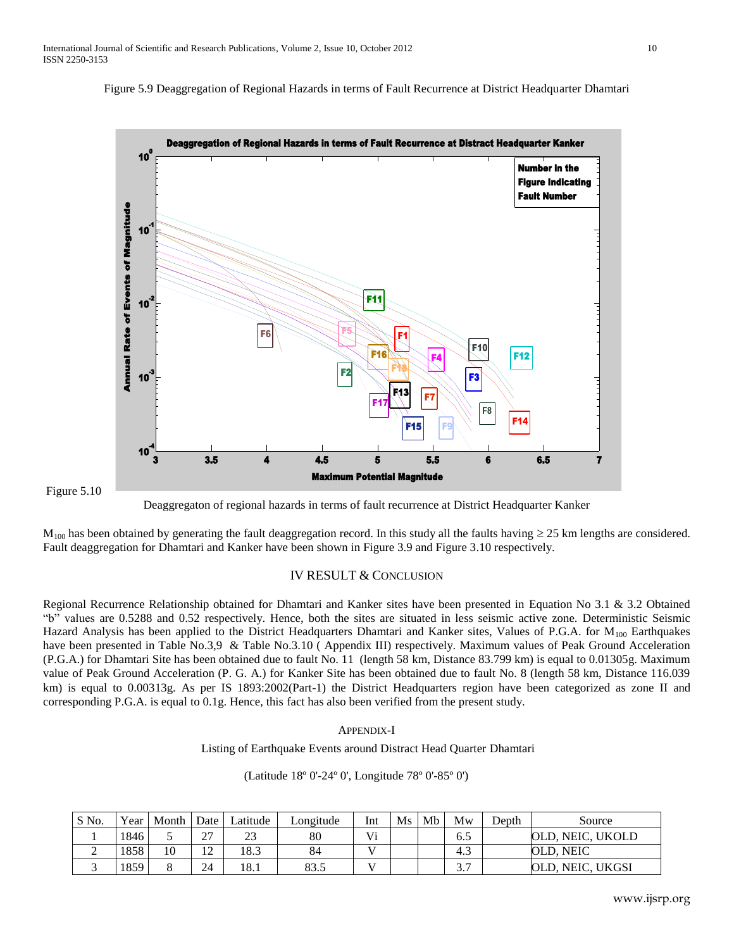





Deaggregaton of regional hazards in terms of fault recurrence at District Headquarter Kanker

 $M_{100}$  has been obtained by generating the fault deaggregation record. In this study all the faults having  $\geq$  25 km lengths are considered. Fault deaggregation for Dhamtari and Kanker have been shown in Figure 3.9 and Figure 3.10 respectively.

### IV RESULT & CONCLUSION

Regional Recurrence Relationship obtained for Dhamtari and Kanker sites have been presented in Equation No 3.1 & 3.2 Obtained "b" values are 0.5288 and 0.52 respectively. Hence, both the sites are situated in less seismic active zone. Deterministic Seismic Hazard Analysis has been applied to the District Headquarters Dhamtari and Kanker sites, Values of P.G.A. for  $M_{100}$  Earthquakes have been presented in Table No.3,9 & Table No.3.10 (Appendix III) respectively. Maximum values of Peak Ground Acceleration (P.G.A.) for Dhamtari Site has been obtained due to fault No. 11 (length 58 km, Distance 83.799 km) is equal to 0.01305g. Maximum value of Peak Ground Acceleration (P. G. A.) for Kanker Site has been obtained due to fault No. 8 (length 58 km, Distance 116.039 km) is equal to 0.00313g. As per IS 1893:2002(Part-1) the District Headquarters region have been categorized as zone II and corresponding P.G.A. is equal to 0.1g. Hence, this fact has also been verified from the present study.

### APPENDIX-I

Listing of Earthquake Events around Distract Head Quarter Dhamtari

(Latitude 18º 0'-24º 0', Longitude 78º 0'-85º 0')

| S No. | Year | Month | Date                             | Latitude           | Longitude | Int          | <b>Ms</b> | Mb | Mw                   | Depth | Source                |
|-------|------|-------|----------------------------------|--------------------|-----------|--------------|-----------|----|----------------------|-------|-----------------------|
|       | 1846 |       | $\sim$<br>ا ک                    | $\mathbf{A}$<br>د۱ | 80        | Vi           |           |    | 6.5                  |       | OLD. NEIC. UKOLD      |
|       | 1858 | 10    | 1 <sub>0</sub><br>$\overline{ }$ | 18.3               | 84        | $\mathbf{v}$ |           |    | $\sim$<br>د.4        |       | OLD. NEIC             |
|       | 1859 |       | 24                               | 18.1               | 83.5      |              |           |    | $\sim$ $\sim$<br>، ب |       | , NEIC, UKGSI<br>OLD. |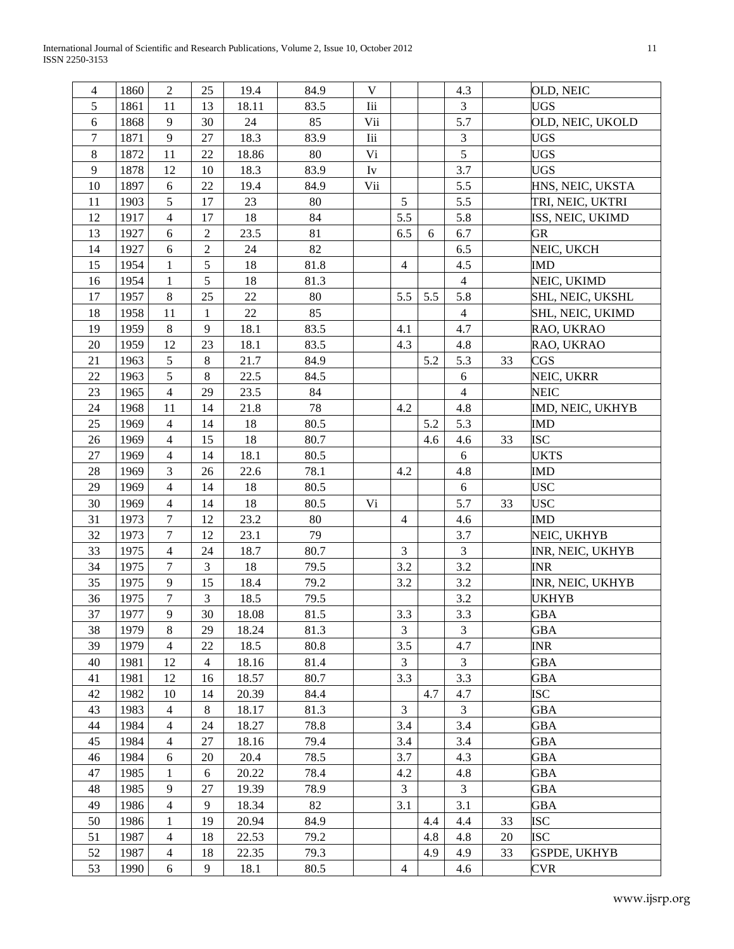International Journal of Scientific and Research Publications, Volume 2, Issue 10, October 2012 11 ISSN 2250-3153

| 4              | 1860 | $\overline{2}$   | 25             | 19.4  | 84.9 | V                   |                         |     | 4.3            |    | OLD, NEIC           |
|----------------|------|------------------|----------------|-------|------|---------------------|-------------------------|-----|----------------|----|---------------------|
| 5              | 1861 | 11               | 13             | 18.11 | 83.5 | Iii                 |                         |     | 3              |    | <b>UGS</b>          |
| 6              | 1868 | 9                | 30             | 24    | 85   | Vii                 |                         |     | 5.7            |    | OLD, NEIC, UKOLD    |
| $\overline{7}$ | 1871 | 9                | 27             | 18.3  | 83.9 | <b>Iii</b>          |                         |     | 3              |    | <b>UGS</b>          |
| $\,8\,$        | 1872 | 11               | 22             | 18.86 | 80   | V <sub>i</sub>      |                         |     | 5              |    | <b>UGS</b>          |
| 9              | 1878 | 12               | 10             | 18.3  | 83.9 | $\operatorname{Iv}$ |                         |     | 3.7            |    | <b>UGS</b>          |
| 10             | 1897 | 6                | 22             | 19.4  | 84.9 | Vii                 |                         |     | 5.5            |    | HNS, NEIC, UKSTA    |
| 11             | 1903 | 5                | 17             | 23    | 80   |                     | 5                       |     | 5.5            |    | TRI, NEIC, UKTRI    |
| 12             | 1917 | $\overline{4}$   | 17             | 18    | 84   |                     | 5.5                     |     | 5.8            |    | ISS, NEIC, UKIMD    |
| 13             | 1927 | 6                | $\overline{2}$ | 23.5  | 81   |                     | 6.5                     | 6   | 6.7            |    | <b>GR</b>           |
| 14             | 1927 | 6                | $\mathbf 2$    | 24    | 82   |                     |                         |     | 6.5            |    | NEIC, UKCH          |
| 15             | 1954 | 1                | 5              | 18    | 81.8 |                     | $\overline{4}$          |     | 4.5            |    | <b>IMD</b>          |
| 16             | 1954 | 1                | 5              | 18    | 81.3 |                     |                         |     | $\overline{4}$ |    | NEIC, UKIMD         |
| 17             | 1957 | $\,8\,$          | 25             | 22    | 80   |                     | 5.5                     | 5.5 | 5.8            |    | SHL, NEIC, UKSHL    |
| 18             | 1958 | 11               | $\mathbf{1}$   | 22    | 85   |                     |                         |     | $\overline{4}$ |    | SHL, NEIC, UKIMD    |
| 19             | 1959 | $8\,$            | 9              | 18.1  | 83.5 |                     | 4.1                     |     | 4.7            |    | RAO, UKRAO          |
| $20\,$         | 1959 | 12               | 23             | 18.1  | 83.5 |                     | 4.3                     |     | 4.8            |    | RAO, UKRAO          |
| 21             | 1963 | 5                | $8\,$          | 21.7  | 84.9 |                     |                         | 5.2 | 5.3            | 33 | CGS                 |
| 22             | 1963 | 5                | $8\,$          | 22.5  | 84.5 |                     |                         |     | 6              |    | NEIC, UKRR          |
| 23             | 1965 | $\overline{4}$   | 29             | 23.5  | 84   |                     |                         |     | $\overline{4}$ |    | <b>NEIC</b>         |
| 24             | 1968 | 11               | 14             | 21.8  | 78   |                     | 4.2                     |     | 4.8            |    | IMD, NEIC, UKHYB    |
| 25             | 1969 | $\overline{4}$   | 14             | 18    | 80.5 |                     |                         | 5.2 | 5.3            |    | <b>IMD</b>          |
| $26\,$         | 1969 | $\overline{4}$   | 15             | 18    | 80.7 |                     |                         | 4.6 | 4.6            | 33 | <b>ISC</b>          |
| 27             | 1969 | $\overline{4}$   | 14             | 18.1  | 80.5 |                     |                         |     | 6              |    | <b>UKTS</b>         |
| 28             | 1969 | 3                | 26             | 22.6  | 78.1 |                     | 4.2                     |     | 4.8            |    | <b>IMD</b>          |
| 29             | 1969 | $\overline{4}$   | 14             | 18    | 80.5 |                     |                         |     | 6              |    | <b>USC</b>          |
| 30             | 1969 | $\overline{4}$   | 14             | 18    | 80.5 | Vi                  |                         |     | 5.7            | 33 | <b>USC</b>          |
| 31             | 1973 | $\tau$           | 12             | 23.2  | 80   |                     | $\overline{4}$          |     | 4.6            |    | <b>IMD</b>          |
| 32             | 1973 | $\tau$           | 12             | 23.1  | 79   |                     |                         |     | 3.7            |    | NEIC, UKHYB         |
| 33             | 1975 | $\overline{4}$   | 24             | 18.7  | 80.7 |                     | $\overline{3}$          |     | $\overline{3}$ |    | INR, NEIC, UKHYB    |
| 34             | 1975 | 7                | 3              | 18    | 79.5 |                     | 3.2                     |     | 3.2            |    | <b>INR</b>          |
| 35             | 1975 | 9                | 15             | 18.4  | 79.2 |                     | 3.2                     |     | $3.2\,$        |    | INR, NEIC, UKHYB    |
| 36             | 1975 | $\boldsymbol{7}$ | 3              | 18.5  | 79.5 |                     |                         |     | 3.2            |    | <b>UKHYB</b>        |
| 37             | 1977 | 9                | 30             | 18.08 | 81.5 |                     | 3.3                     |     | 3.3            |    | <b>GBA</b>          |
| 38             | 1979 | 8                | 29             | 18.24 | 81.3 |                     | 3                       |     | 3              |    | <b>GBA</b>          |
| 39             | 1979 | 4                | 22             | 18.5  | 80.8 |                     | 3.5                     |     | 4.7            |    | <b>INR</b>          |
| 40             | 1981 | 12               | $\overline{4}$ | 18.16 | 81.4 |                     | $\overline{3}$          |     | 3              |    | <b>GBA</b>          |
| 41             | 1981 | 12               | 16             | 18.57 | 80.7 |                     | 3.3                     |     | 3.3            |    | <b>GBA</b>          |
| 42             | 1982 | 10               | 14             | 20.39 | 84.4 |                     |                         | 4.7 | 4.7            |    | <b>ISC</b>          |
| 43             | 1983 | 4                | 8              | 18.17 | 81.3 |                     | 3                       |     | 3              |    | GBA                 |
| 44             | 1984 | $\overline{4}$   | 24             | 18.27 | 78.8 |                     | 3.4                     |     | 3.4            |    | GBA                 |
| 45             | 1984 | $\overline{4}$   | 27             | 18.16 | 79.4 |                     | 3.4                     |     | 3.4            |    | <b>GBA</b>          |
| 46             | 1984 |                  | 20             |       | 78.5 |                     | 3.7                     |     | 4.3            |    | <b>GBA</b>          |
| 47             |      | 6                |                | 20.4  |      |                     |                         |     |                |    |                     |
|                | 1985 | 1                | 6              | 20.22 | 78.4 |                     | 4.2                     |     | 4.8            |    | <b>GBA</b>          |
| 48             | 1985 | 9                | 27             | 19.39 | 78.9 |                     | $\mathfrak{Z}$          |     | 3              |    | <b>GBA</b>          |
| 49             | 1986 | 4                | 9              | 18.34 | 82   |                     | 3.1                     |     | 3.1            |    | <b>GBA</b>          |
| 50             | 1986 | 1                | 19             | 20.94 | 84.9 |                     |                         | 4.4 | 4.4            | 33 | <b>ISC</b>          |
| 51             | 1987 | $\overline{4}$   | 18             | 22.53 | 79.2 |                     |                         | 4.8 | 4.8            | 20 | <b>ISC</b>          |
| 52             | 1987 | $\overline{4}$   | 18             | 22.35 | 79.3 |                     |                         | 4.9 | 4.9            | 33 | <b>GSPDE, UKHYB</b> |
| 53             | 1990 | 6                | 9              | 18.1  | 80.5 |                     | $\overline{\mathbf{4}}$ |     | 4.6            |    | <b>CVR</b>          |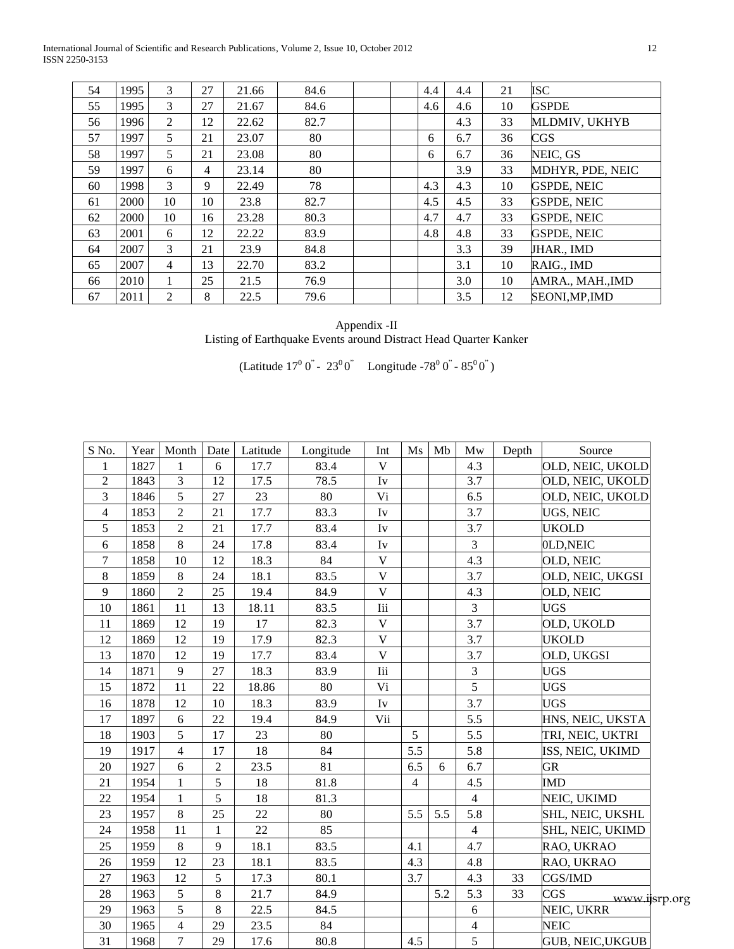International Journal of Scientific and Research Publications, Volume 2, Issue 10, October 2012 12 ISSN 2250-3153

| 54 | 1995 | 3              | 27 | 21.66 | 84.6 |  | 4.4 | 4.4 | 21 | <b>ISC</b>         |
|----|------|----------------|----|-------|------|--|-----|-----|----|--------------------|
| 55 | 1995 | 3              | 27 | 21.67 | 84.6 |  | 4.6 | 4.6 | 10 | <b>GSPDE</b>       |
| 56 | 1996 | 2              | 12 | 22.62 | 82.7 |  |     | 4.3 | 33 | MLDMIV, UKHYB      |
| 57 | 1997 | 5              | 21 | 23.07 | 80   |  | 6   | 6.7 | 36 | CGS                |
| 58 | 1997 | 5              | 21 | 23.08 | 80   |  | 6   | 6.7 | 36 | NEIC, GS           |
| 59 | 1997 | 6              | 4  | 23.14 | 80   |  |     | 3.9 | 33 | MDHYR, PDE, NEIC   |
| 60 | 1998 | 3              | 9  | 22.49 | 78   |  | 4.3 | 4.3 | 10 | <b>GSPDE, NEIC</b> |
| 61 | 2000 | 10             | 10 | 23.8  | 82.7 |  | 4.5 | 4.5 | 33 | <b>GSPDE, NEIC</b> |
| 62 | 2000 | 10             | 16 | 23.28 | 80.3 |  | 4.7 | 4.7 | 33 | <b>GSPDE, NEIC</b> |
| 63 | 2001 | 6              | 12 | 22.22 | 83.9 |  | 4.8 | 4.8 | 33 | <b>GSPDE, NEIC</b> |
| 64 | 2007 | 3              | 21 | 23.9  | 84.8 |  |     | 3.3 | 39 | JHAR., IMD         |
| 65 | 2007 | $\overline{4}$ | 13 | 22.70 | 83.2 |  |     | 3.1 | 10 | RAIG IMD           |
| 66 | 2010 |                | 25 | 21.5  | 76.9 |  |     | 3.0 | 10 | AMRA., MAH., IMD   |
| 67 | 2011 | $\overline{2}$ | 8  | 22.5  | 79.6 |  |     | 3.5 | 12 | SEONI, MP, IMD     |

Appendix -II Listing of Earthquake Events around Distract Head Quarter Kanker

(Latitude  $17^{\circ}$  0<sup>"</sup> -  $23^{\circ}$  0<sup>"</sup> Longitude -78<sup>°</sup> 0<sup>"</sup> -  $85^{\circ}$  0<sup>"</sup>)

| S No.          |      | Year   Month   | Date            | Latitude | Longitude | Int                    | $\overline{\text{Ms}}$ | Mb  | Mw             | Depth | Source                  |  |
|----------------|------|----------------|-----------------|----------|-----------|------------------------|------------------------|-----|----------------|-------|-------------------------|--|
| 1              | 1827 | 1              | 6               | 17.7     | 83.4      | V                      |                        |     | 4.3            |       | OLD, NEIC, UKOLD        |  |
| $\overline{2}$ | 1843 | $\overline{3}$ | $\overline{12}$ | 17.5     | 78.5      | Iv                     |                        |     | 3.7            |       | OLD, NEIC, UKOLD        |  |
| 3              | 1846 | 5              | 27              | 23       | 80        | Vi                     |                        |     | 6.5            |       | OLD, NEIC, UKOLD        |  |
| $\overline{4}$ | 1853 | $\overline{2}$ | 21              | 17.7     | 83.3      | $\mathbf{I}\mathbf{v}$ |                        |     | 3.7            |       | UGS, NEIC               |  |
| 5              | 1853 | $\overline{2}$ | 21              | 17.7     | 83.4      | $\mathbf{I}\mathbf{v}$ |                        |     | 3.7            |       | <b>UKOLD</b>            |  |
| 6              | 1858 | $8\,$          | 24              | 17.8     | 83.4      | Iv                     |                        |     | 3              |       | 0LD, NEIC               |  |
| $\overline{7}$ | 1858 | 10             | 12              | 18.3     | 84        | $\mathbf{V}$           |                        |     | 4.3            |       | OLD, NEIC               |  |
| $8\,$          | 1859 | $8\,$          | 24              | 18.1     | 83.5      | $\mathbf V$            |                        |     | 3.7            |       | OLD, NEIC, UKGSI        |  |
| 9              | 1860 | $\overline{2}$ | 25              | 19.4     | 84.9      | $\mathbf V$            |                        |     | 4.3            |       | OLD, NEIC               |  |
| 10             | 1861 | 11             | 13              | 18.11    | 83.5      | <b>Iii</b>             |                        |     | 3              |       | <b>UGS</b>              |  |
| 11             | 1869 | 12             | 19              | 17       | 82.3      | $\mathbf V$            |                        |     | 3.7            |       | OLD, UKOLD              |  |
| 12             | 1869 | 12             | 19              | 17.9     | 82.3      | $\mathbf V$            |                        |     | 3.7            |       | UKOLD                   |  |
| 13             | 1870 | 12             | 19              | 17.7     | 83.4      | V                      |                        |     | 3.7            |       | OLD, UKGSI              |  |
| 14             | 1871 | 9              | 27              | 18.3     | 83.9      | $\rm{I}\rm{ii}$        |                        |     | 3              |       | <b>UGS</b>              |  |
| 15             | 1872 | 11             | 22              | 18.86    | 80        | Vi                     |                        |     | $\overline{5}$ |       | <b>UGS</b>              |  |
| 16             | 1878 | 12             | 10              | 18.3     | 83.9      | Iv                     |                        |     | 3.7            |       | <b>UGS</b>              |  |
| 17             | 1897 | 6              | 22              | 19.4     | 84.9      | Vii                    |                        |     | 5.5            |       | HNS, NEIC, UKSTA        |  |
| 18             | 1903 | 5              | 17              | 23       | 80        |                        | 5                      |     | 5.5            |       | TRI, NEIC, UKTRI        |  |
| 19             | 1917 | $\overline{4}$ | 17              | 18       | 84        |                        | 5.5                    |     | 5.8            |       | ISS, NEIC, UKIMD        |  |
| 20             | 1927 | 6              | $\overline{2}$  | 23.5     | 81        |                        | 6.5                    | 6   | 6.7            |       | <b>GR</b>               |  |
| 21             | 1954 | $\mathbf{1}$   | 5               | 18       | 81.8      |                        | $\overline{4}$         |     | 4.5            |       | <b>IMD</b>              |  |
| 22             | 1954 | $\mathbf{1}$   | 5               | 18       | 81.3      |                        |                        |     | $\overline{4}$ |       | NEIC, UKIMD             |  |
| 23             | 1957 | 8              | 25              | 22       | 80        |                        | 5.5                    | 5.5 | 5.8            |       | SHL, NEIC, UKSHL        |  |
| 24             | 1958 | 11             | 1               | 22       | 85        |                        |                        |     | $\overline{4}$ |       | SHL, NEIC, UKIMD        |  |
| 25             | 1959 | $8\,$          | 9               | 18.1     | 83.5      |                        | 4.1                    |     | 4.7            |       | RAO, UKRAO              |  |
| 26             | 1959 | 12             | 23              | 18.1     | 83.5      |                        | 4.3                    |     | 4.8            |       | RAO, UKRAO              |  |
| 27             | 1963 | 12             | 5               | 17.3     | 80.1      |                        | 3.7                    |     | 4.3            | 33    | CGS/IMD                 |  |
| 28             | 1963 | 5              | $8\,$           | 21.7     | 84.9      |                        |                        | 5.2 | 5.3            | 33    | CGS<br>www.ijsrp.org    |  |
| 29             | 1963 | 5              | 8               | 22.5     | 84.5      |                        |                        |     | 6              |       | NEIC, UKRR              |  |
| 30             | 1965 | $\overline{4}$ | 29              | 23.5     | 84        |                        |                        |     | $\overline{4}$ |       | <b>NEIC</b>             |  |
| 31             | 1968 | $\overline{7}$ | 29              | 17.6     | 80.8      |                        | 4.5                    |     | 5              |       | <b>GUB, NEIC, UKGUB</b> |  |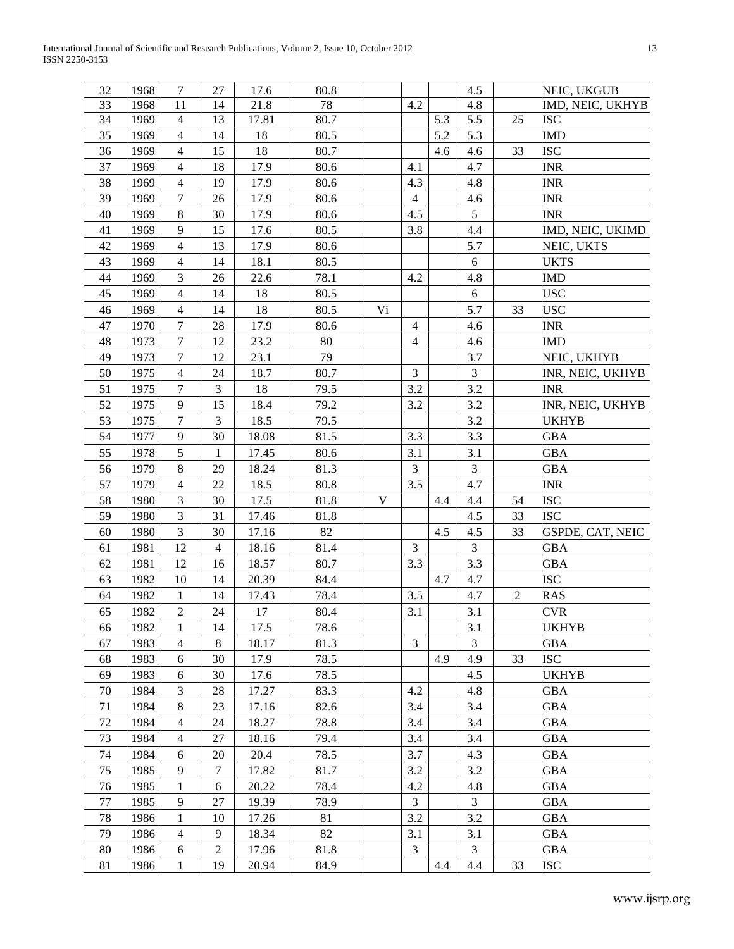International Journal of Scientific and Research Publications, Volume 2, Issue 10, October 2012 13 ISSN 2250-3153

| 32 | 1968 | $\tau$         | 27             | 17.6  | 80.8 |    |                |     | $4.5\,$        |                | NEIC, UKGUB      |
|----|------|----------------|----------------|-------|------|----|----------------|-----|----------------|----------------|------------------|
| 33 | 1968 | 11             | 14             | 21.8  | 78   |    | 4.2            |     | 4.8            |                | IMD, NEIC, UKHYB |
| 34 | 1969 | $\overline{4}$ | 13             | 17.81 | 80.7 |    |                | 5.3 | 5.5            | 25             | <b>ISC</b>       |
| 35 | 1969 | $\overline{4}$ | 14             | 18    | 80.5 |    |                | 5.2 | 5.3            |                | <b>IMD</b>       |
| 36 | 1969 | $\overline{4}$ | 15             | 18    | 80.7 |    |                | 4.6 | 4.6            | 33             | <b>ISC</b>       |
| 37 | 1969 | $\overline{4}$ | 18             | 17.9  | 80.6 |    | 4.1            |     | 4.7            |                | <b>INR</b>       |
| 38 | 1969 | $\overline{4}$ | 19             | 17.9  | 80.6 |    | 4.3            |     | 4.8            |                | <b>INR</b>       |
| 39 | 1969 | $\overline{7}$ | 26             | 17.9  | 80.6 |    | $\overline{4}$ |     | 4.6            |                | <b>INR</b>       |
| 40 | 1969 | $\,8\,$        | 30             | 17.9  | 80.6 |    | 4.5            |     | 5              |                | INR              |
| 41 | 1969 | 9              | 15             | 17.6  | 80.5 |    | 3.8            |     | 4.4            |                | IMD, NEIC, UKIMD |
| 42 | 1969 | $\overline{4}$ | 13             | 17.9  | 80.6 |    |                |     | 5.7            |                | NEIC, UKTS       |
| 43 | 1969 | $\overline{4}$ | 14             | 18.1  | 80.5 |    |                |     | 6              |                | <b>UKTS</b>      |
| 44 | 1969 | 3              | 26             | 22.6  | 78.1 |    | 4.2            |     | 4.8            |                | IMD              |
| 45 | 1969 | $\overline{4}$ | 14             | 18    | 80.5 |    |                |     | $\sqrt{6}$     |                | <b>USC</b>       |
| 46 | 1969 | $\overline{4}$ | 14             | 18    | 80.5 | Vi |                |     | 5.7            | 33             | <b>USC</b>       |
| 47 | 1970 | $\tau$         | $28\,$         | 17.9  | 80.6 |    | $\overline{4}$ |     | 4.6            |                | <b>INR</b>       |
| 48 | 1973 | $\overline{7}$ | 12             | 23.2  | 80   |    | $\overline{4}$ |     | 4.6            |                | <b>IMD</b>       |
| 49 | 1973 | $\overline{7}$ | 12             | 23.1  | 79   |    |                |     | 3.7            |                | NEIC, UKHYB      |
| 50 | 1975 | $\overline{4}$ | 24             | 18.7  | 80.7 |    | $\mathfrak{Z}$ |     | $\mathfrak{Z}$ |                | INR, NEIC, UKHYB |
| 51 | 1975 | $\tau$         | 3              | 18    | 79.5 |    | 3.2            |     | 3.2            |                | <b>INR</b>       |
| 52 | 1975 | 9              | 15             | 18.4  | 79.2 |    | 3.2            |     | 3.2            |                | INR, NEIC, UKHYB |
| 53 | 1975 | $\tau$         | 3              | 18.5  | 79.5 |    |                |     | 3.2            |                | <b>UKHYB</b>     |
| 54 | 1977 | 9              | 30             | 18.08 | 81.5 |    | 3.3            |     | 3.3            |                | GBA              |
| 55 | 1978 | 5              | 1              | 17.45 | 80.6 |    | 3.1            |     | 3.1            |                | GBA              |
| 56 | 1979 | $\,8$          | 29             | 18.24 | 81.3 |    | $\mathfrak{Z}$ |     | $\mathfrak 3$  |                | <b>GBA</b>       |
| 57 | 1979 | $\overline{4}$ | 22             | 18.5  | 80.8 |    | 3.5            |     | 4.7            |                | <b>INR</b>       |
| 58 | 1980 | 3              | 30             | 17.5  | 81.8 | V  |                | 4.4 | 4.4            | 54             | <b>ISC</b>       |
| 59 | 1980 | 3              | 31             | 17.46 | 81.8 |    |                |     | 4.5            | 33             | <b>ISC</b>       |
| 60 | 1980 | 3              | 30             | 17.16 | 82   |    |                | 4.5 | 4.5            | 33             | GSPDE, CAT, NEIC |
| 61 | 1981 | 12             | $\overline{4}$ | 18.16 | 81.4 |    | 3              |     | $\mathfrak{Z}$ |                | <b>GBA</b>       |
| 62 | 1981 | 12             | 16             | 18.57 | 80.7 |    | 3.3            |     | 3.3            |                | GBA              |
| 63 | 1982 | 10             | 14             | 20.39 | 84.4 |    |                | 4.7 | 4.7            |                | <b>ISC</b>       |
| 64 | 1982 | 1              | 14             | 17.43 | 78.4 |    | 3.5            |     | 4.7            | $\overline{2}$ | RAS              |
| 65 | 1982 | $\overline{2}$ | 24             | 17    | 80.4 |    | 3.1            |     | 3.1            |                | <b>CVR</b>       |
| 66 | 1982 | 1              | 14             | 17.5  | 78.6 |    |                |     | 3.1            |                | <b>UKHYB</b>     |
| 67 | 1983 | $\overline{4}$ | 8              | 18.17 | 81.3 |    | $\overline{3}$ |     | $\overline{3}$ |                | <b>GBA</b>       |
| 68 | 1983 | 6              | 30             | 17.9  | 78.5 |    |                | 4.9 | 4.9            | 33             | ISC              |
| 69 | 1983 | 6              | 30             | 17.6  | 78.5 |    |                |     | 4.5            |                | UKHYB            |
| 70 | 1984 | 3              | 28             | 17.27 | 83.3 |    | 4.2            |     | 4.8            |                | GBA              |
| 71 | 1984 | 8              | 23             | 17.16 | 82.6 |    | 3.4            |     | 3.4            |                | <b>GBA</b>       |
| 72 | 1984 | $\overline{4}$ | 24             | 18.27 | 78.8 |    | 3.4            |     | 3.4            |                | <b>GBA</b>       |
| 73 | 1984 | $\overline{4}$ | 27             | 18.16 | 79.4 |    | 3.4            |     | 3.4            |                | GBA              |
| 74 | 1984 | 6              | 20             | 20.4  | 78.5 |    | 3.7            |     | 4.3            |                | GBA              |
| 75 | 1985 | 9              | $\tau$         | 17.82 | 81.7 |    | 3.2            |     | 3.2            |                | <b>GBA</b>       |
| 76 | 1985 | $\mathbf{1}$   | 6              | 20.22 | 78.4 |    | 4.2            |     | 4.8            |                | <b>GBA</b>       |
| 77 | 1985 | 9              | 27             | 19.39 | 78.9 |    | 3              |     | $\mathfrak{Z}$ |                | <b>GBA</b>       |
| 78 | 1986 | 1              | 10             | 17.26 | 81   |    | 3.2            |     | 3.2            |                | GBA              |
| 79 | 1986 | $\overline{4}$ | 9              | 18.34 | 82   |    | 3.1            |     | 3.1            |                | <b>GBA</b>       |
| 80 | 1986 | 6              | $\overline{c}$ | 17.96 | 81.8 |    | 3              |     | $\mathfrak{Z}$ |                | GBA              |
| 81 | 1986 | $\mathbf{1}$   | 19             | 20.94 | 84.9 |    |                | 4.4 | 4.4            | 33             | ISC              |
|    |      |                |                |       |      |    |                |     |                |                |                  |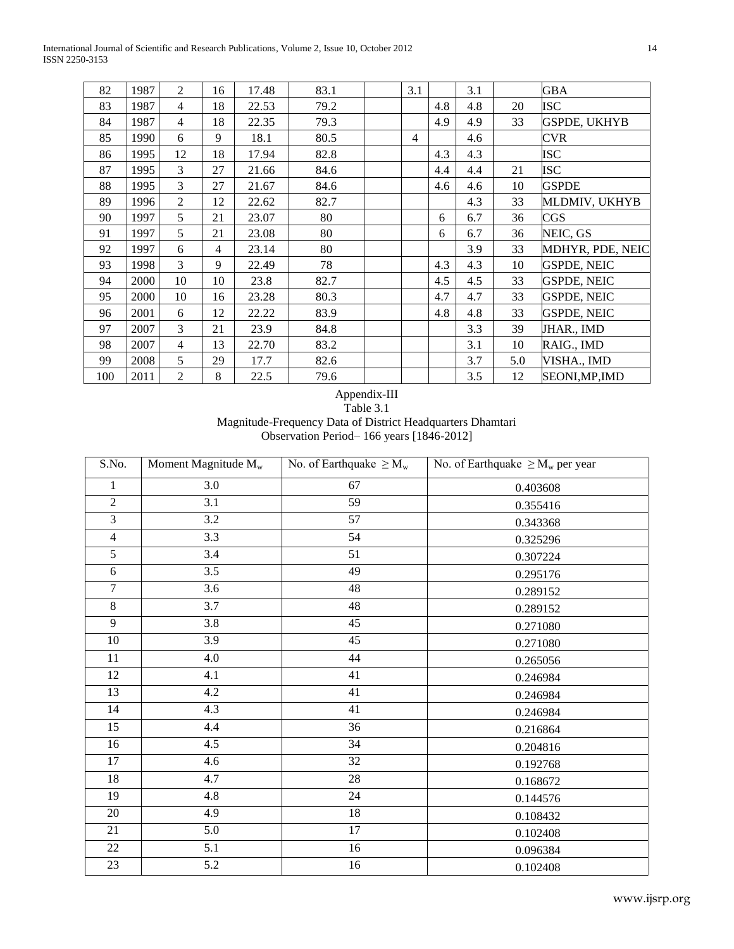International Journal of Scientific and Research Publications, Volume 2, Issue 10, October 2012 14 ISSN 2250-3153

| 82  | 1987 | $\overline{2}$ | 16 | 17.48 | 83.1 | 3.1 |     | 3.1 |     | GBA                 |
|-----|------|----------------|----|-------|------|-----|-----|-----|-----|---------------------|
| 83  | 1987 | $\overline{4}$ | 18 | 22.53 | 79.2 |     | 4.8 | 4.8 | 20  | ISC                 |
| 84  | 1987 | $\overline{4}$ | 18 | 22.35 | 79.3 |     | 4.9 | 4.9 | 33  | <b>GSPDE, UKHYB</b> |
| 85  | 1990 | 6              | 9  | 18.1  | 80.5 | 4   |     | 4.6 |     | <b>CVR</b>          |
| 86  | 1995 | 12             | 18 | 17.94 | 82.8 |     | 4.3 | 4.3 |     | <b>ISC</b>          |
| 87  | 1995 | 3              | 27 | 21.66 | 84.6 |     | 4.4 | 4.4 | 21  | <b>ISC</b>          |
| 88  | 1995 | 3              | 27 | 21.67 | 84.6 |     | 4.6 | 4.6 | 10  | <b>GSPDE</b>        |
| 89  | 1996 | $\overline{2}$ | 12 | 22.62 | 82.7 |     |     | 4.3 | 33  | MLDMIV, UKHYB       |
| 90  | 1997 | 5              | 21 | 23.07 | 80   |     | 6   | 6.7 | 36  | CGS                 |
| 91  | 1997 | 5              | 21 | 23.08 | 80   |     | 6   | 6.7 | 36  | NEIC, GS            |
| 92  | 1997 | 6              | 4  | 23.14 | 80   |     |     | 3.9 | 33  | MDHYR, PDE, NEIC    |
| 93  | 1998 | 3              | 9  | 22.49 | 78   |     | 4.3 | 4.3 | 10  | <b>GSPDE, NEIC</b>  |
| 94  | 2000 | 10             | 10 | 23.8  | 82.7 |     | 4.5 | 4.5 | 33  | <b>GSPDE, NEIC</b>  |
| 95  | 2000 | 10             | 16 | 23.28 | 80.3 |     | 4.7 | 4.7 | 33  | <b>GSPDE, NEIC</b>  |
| 96  | 2001 | 6              | 12 | 22.22 | 83.9 |     | 4.8 | 4.8 | 33  | <b>GSPDE, NEIC</b>  |
| 97  | 2007 | $\overline{3}$ | 21 | 23.9  | 84.8 |     |     | 3.3 | 39  | JHAR., IMD          |
| 98  | 2007 | $\overline{4}$ | 13 | 22.70 | 83.2 |     |     | 3.1 | 10  | RAIG., IMD          |
| 99  | 2008 | 5              | 29 | 17.7  | 82.6 |     |     | 3.7 | 5.0 | VISHA., IMD         |
| 100 | 2011 | 2              | 8  | 22.5  | 79.6 |     |     | 3.5 | 12  | SEONI, MP, IMD      |

Appendix-III Table 3.1 Magnitude-Frequency Data of District Headquarters Dhamtari Observation Period– 166 years [1846-2012]

| S.No.          | Moment Magnitude $M_w$<br>No. of Earthquake $\geq M_w$ |                 | No. of Earthquake $\geq M_w$ per year |
|----------------|--------------------------------------------------------|-----------------|---------------------------------------|
| 1              | 3.0                                                    | 67              | 0.403608                              |
| $\overline{2}$ | 3.1                                                    | 59              | 0.355416                              |
| $\overline{3}$ | 3.2                                                    | 57              | 0.343368                              |
| $\overline{4}$ | 3.3                                                    | 54              | 0.325296                              |
| $\overline{5}$ | 3.4                                                    | $\overline{51}$ | 0.307224                              |
| 6              | 3.5                                                    | 49              | 0.295176                              |
| $\overline{7}$ | 3.6                                                    | 48              | 0.289152                              |
| $\overline{8}$ | 3.7                                                    | 48              | 0.289152                              |
| $\overline{9}$ | 3.8                                                    | 45              | 0.271080                              |
| $10\,$         | 3.9                                                    | 45              | 0.271080                              |
| 11             | 4.0                                                    | 44              | 0.265056                              |
| 12             | 4.1                                                    | 41              | 0.246984                              |
| 13             | 4.2                                                    | 41              | 0.246984                              |
| 14             | 4.3                                                    | 41              | 0.246984                              |
| 15             | 4.4                                                    | 36              | 0.216864                              |
| 16             | 4.5                                                    | 34              | 0.204816                              |
| 17             | 4.6                                                    | 32              | 0.192768                              |
| 18             | 4.7                                                    | 28              | 0.168672                              |
| 19             | 4.8                                                    | 24              | 0.144576                              |
| 20             | 4.9                                                    | 18              | 0.108432                              |
| 21             | 5.0                                                    | 17              | 0.102408                              |
| 22             | 5.1                                                    | $\overline{16}$ | 0.096384                              |
| 23             | 5.2                                                    | $16\,$          | 0.102408                              |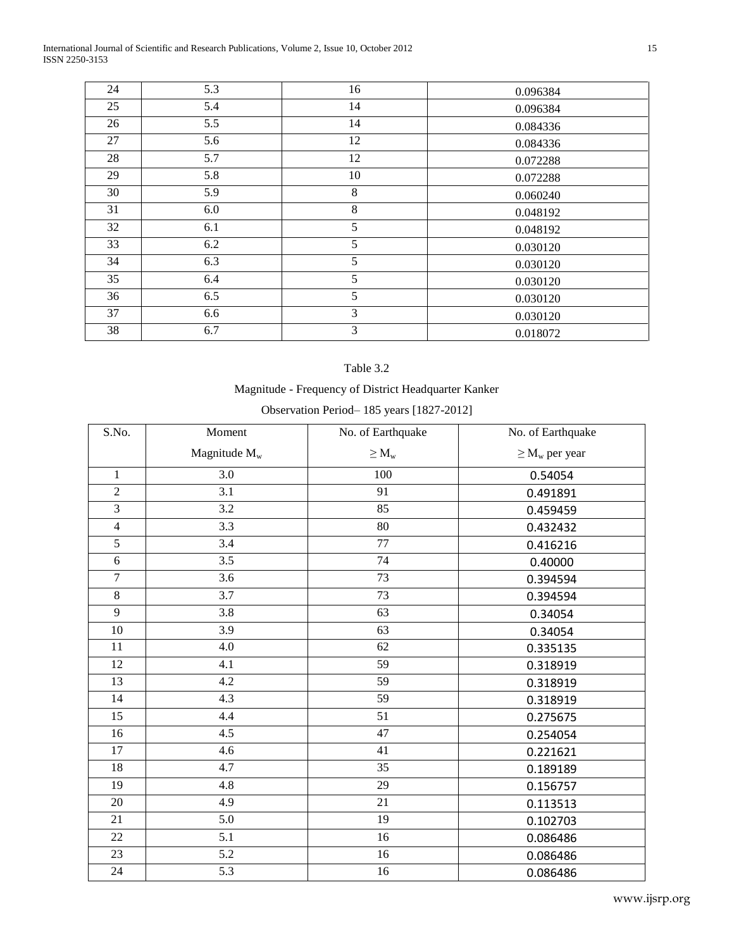International Journal of Scientific and Research Publications, Volume 2, Issue 10, October 2012 15 ISSN 2250-3153

| 24 | 5.3 | 16 | 0.096384 |
|----|-----|----|----------|
| 25 | 5.4 | 14 | 0.096384 |
| 26 | 5.5 | 14 | 0.084336 |
| 27 | 5.6 | 12 | 0.084336 |
| 28 | 5.7 | 12 | 0.072288 |
| 29 | 5.8 | 10 | 0.072288 |
| 30 | 5.9 | 8  | 0.060240 |
| 31 | 6.0 | 8  | 0.048192 |
| 32 | 6.1 | 5  | 0.048192 |
| 33 | 6.2 | 5  | 0.030120 |
| 34 | 6.3 | 5  | 0.030120 |
| 35 | 6.4 | 5  | 0.030120 |
| 36 | 6.5 | 5  | 0.030120 |
| 37 | 6.6 | 3  | 0.030120 |
| 38 | 6.7 | 3  | 0.018072 |

### Table 3.2

# Magnitude - Frequency of District Headquarter Kanker

| Observation Period-185 years [1827-2012] |  |  |
|------------------------------------------|--|--|
|------------------------------------------|--|--|

| S.No.           | Moment          | No. of Earthquake | No. of Earthquake   |
|-----------------|-----------------|-------------------|---------------------|
|                 | Magnitude $M_w$ | $\geq M_w$        | $\geq M_w$ per year |
| $\mathbf{1}$    | 3.0             | 100               | 0.54054             |
| $\overline{2}$  | 3.1             | 91                | 0.491891            |
| $\overline{3}$  | 3.2             | 85                | 0.459459            |
| $\overline{4}$  | 3.3             | 80                | 0.432432            |
| $\overline{5}$  | 3.4             | $\overline{77}$   | 0.416216            |
| 6               | 3.5             | 74                | 0.40000             |
| $\overline{7}$  | 3.6             | 73                | 0.394594            |
| 8               | 3.7             | 73                | 0.394594            |
| 9               | 3.8             | 63                | 0.34054             |
| 10              | 3.9             | 63                | 0.34054             |
| 11              | 4.0             | 62                | 0.335135            |
| 12              | 4.1             | 59                | 0.318919            |
| 13              | 4.2             | 59                | 0.318919            |
| 14              | 4.3             | 59                | 0.318919            |
| 15              | 4.4             | 51                | 0.275675            |
| 16              | 4.5             | 47                | 0.254054            |
| $\overline{17}$ | 4.6             | 41                | 0.221621            |
| 18              | 4.7             | 35                | 0.189189            |
| 19              | 4.8             | 29                | 0.156757            |
| 20              | 4.9             | 21                | 0.113513            |
| 21              | 5.0             | 19                | 0.102703            |
| 22              | 5.1             | 16                | 0.086486            |
| 23              | 5.2             | 16                | 0.086486            |
| 24              | 5.3             | 16                | 0.086486            |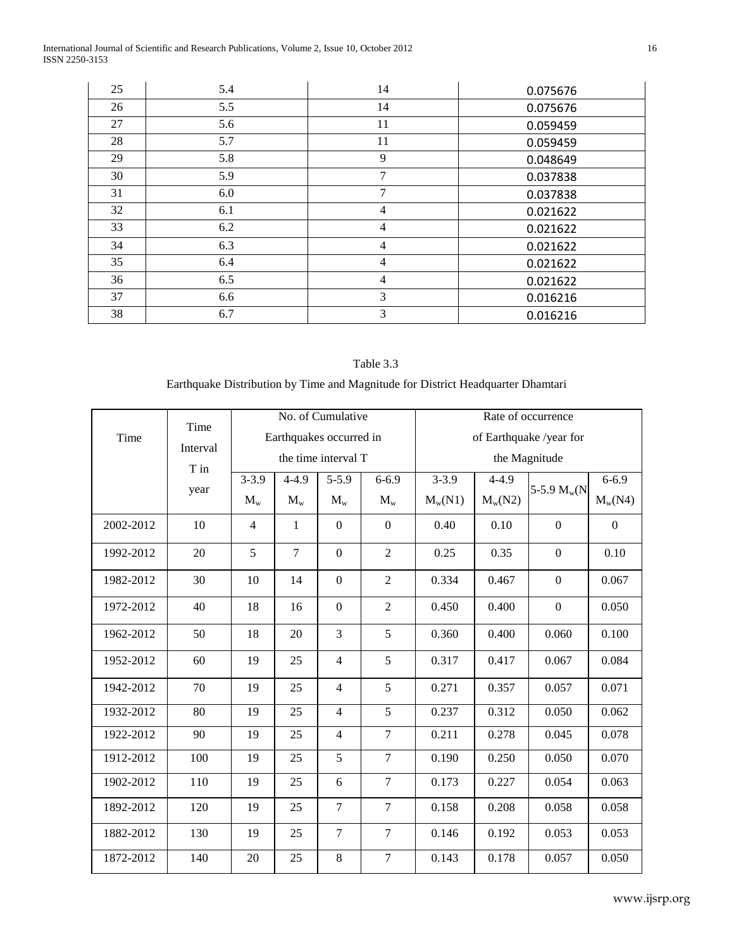International Journal of Scientific and Research Publications, Volume 2, Issue 10, October 2012 16 ISSN 2250-3153

| 25 | 5.4 | 14             | 0.075676 |
|----|-----|----------------|----------|
| 26 | 5.5 | 14             | 0.075676 |
| 27 | 5.6 | 11             | 0.059459 |
| 28 | 5.7 | 11             | 0.059459 |
| 29 | 5.8 | 9              | 0.048649 |
| 30 | 5.9 | 7              | 0.037838 |
| 31 | 6.0 | 7              | 0.037838 |
| 32 | 6.1 | $\overline{4}$ | 0.021622 |
| 33 | 6.2 | 4              | 0.021622 |
| 34 | 6.3 | $\overline{4}$ | 0.021622 |
| 35 | 6.4 | $\overline{4}$ | 0.021622 |
| 36 | 6.5 | $\overline{4}$ | 0.021622 |
| 37 | 6.6 | 3              | 0.016216 |
| 38 | 6.7 | $\overline{3}$ | 0.016216 |

# Table 3.3

# Earthquake Distribution by Time and Magnitude for District Headquarter Dhamtari

|           |                  | No. of Cumulative |                         |                     |                  |               | Rate of occurrence |                         |           |  |
|-----------|------------------|-------------------|-------------------------|---------------------|------------------|---------------|--------------------|-------------------------|-----------|--|
| Time      | Time             |                   | Earthquakes occurred in |                     |                  |               |                    | of Earthquake /year for |           |  |
|           | Interval<br>T in |                   |                         | the time interval T |                  | the Magnitude |                    |                         |           |  |
|           |                  | $3 - 3.9$         | $4 - 4.9$               | $5 - 5.9$           | $6 - 6.9$        | $3 - 3.9$     | $4 - 4.9$          |                         | $6 - 6.9$ |  |
|           | year             | $M_{w}$           | $M_{w}$                 | $M_{w}$             | $M_{w}$          | $M_w(N1)$     | $M_w(N2)$          | 5-5.9 $M_w(N)$          | $M_w(N4)$ |  |
| 2002-2012 | 10               | $\overline{4}$    | $\mathbf{1}$            | $\boldsymbol{0}$    | $\boldsymbol{0}$ | 0.40          | 0.10               | $\boldsymbol{0}$        | $\Omega$  |  |
| 1992-2012 | 20               | 5                 | $\overline{7}$          | $\boldsymbol{0}$    | $\overline{2}$   | 0.25          | 0.35               | $\overline{0}$          | 0.10      |  |
| 1982-2012 | 30               | 10                | 14                      | $\boldsymbol{0}$    | $\overline{2}$   | 0.334         | 0.467              | $\boldsymbol{0}$        | 0.067     |  |
| 1972-2012 | 40               | 18                | 16                      | $\boldsymbol{0}$    | $\overline{2}$   | 0.450         | 0.400              | $\boldsymbol{0}$        | 0.050     |  |
| 1962-2012 | 50               | 18                | 20                      | $\overline{3}$      | 5                | 0.360         | 0.400              | 0.060                   | 0.100     |  |
| 1952-2012 | 60               | 19                | 25                      | $\overline{4}$      | 5                | 0.317         | 0.417              | 0.067                   | 0.084     |  |
| 1942-2012 | 70               | 19                | 25                      | $\overline{4}$      | 5                | 0.271         | 0.357              | 0.057                   | 0.071     |  |
| 1932-2012 | 80               | 19                | 25                      | $\overline{4}$      | 5                | 0.237         | 0.312              | 0.050                   | 0.062     |  |
| 1922-2012 | 90               | 19                | 25                      | $\overline{4}$      | $\overline{7}$   | 0.211         | 0.278              | 0.045                   | 0.078     |  |
| 1912-2012 | 100              | 19                | 25                      | 5                   | $\overline{7}$   | 0.190         | 0.250              | 0.050                   | 0.070     |  |
| 1902-2012 | 110              | 19                | 25                      | 6                   | $\overline{7}$   | 0.173         | 0.227              | 0.054                   | 0.063     |  |
| 1892-2012 | 120              | 19                | 25                      | $\overline{7}$      | $\overline{7}$   | 0.158         | 0.208              | 0.058                   | 0.058     |  |
| 1882-2012 | 130              | 19                | 25                      | $\overline{7}$      | $\overline{7}$   | 0.146         | 0.192              | 0.053                   | 0.053     |  |
| 1872-2012 | 140              | 20                | 25                      | $8\,$               | $\overline{7}$   | 0.143         | 0.178              | 0.057                   | 0.050     |  |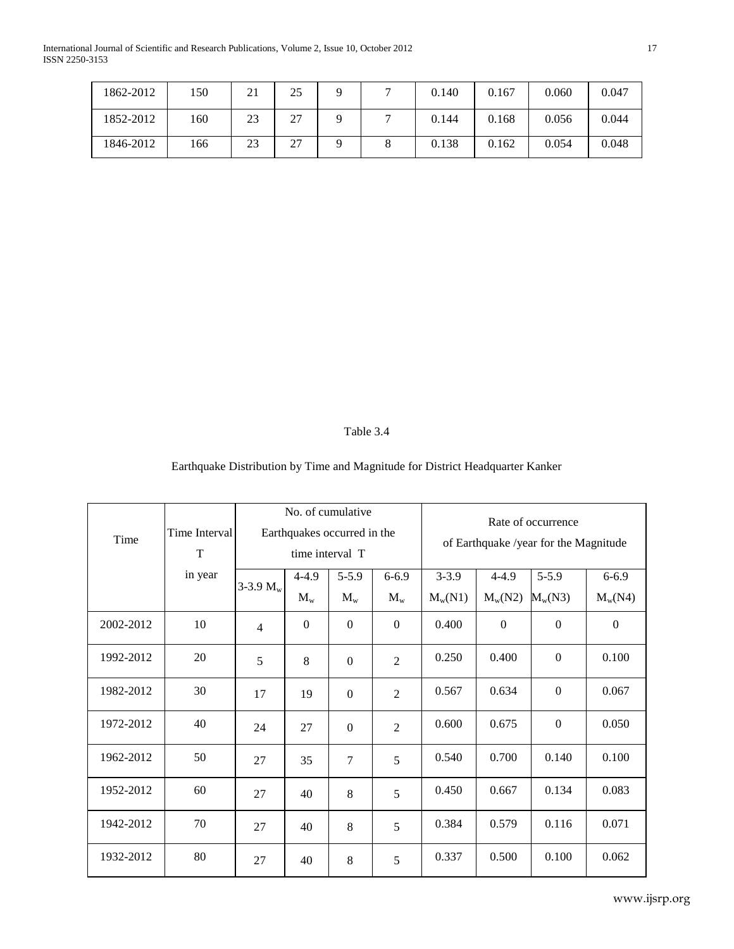International Journal of Scientific and Research Publications, Volume 2, Issue 10, October 2012 17 ISSN 2250-3153

| 1862-2012 | 150 | 21 | 25 |   | 0.140 | 0.167 | 0.060 | 0.047 |
|-----------|-----|----|----|---|-------|-------|-------|-------|
| 1852-2012 | 160 | 23 | 27 |   | 0.144 | 0.168 | 0.056 | 0.044 |
| 1846-2012 | 166 | 23 | 27 | Õ | 0.138 | 0.162 | 0.054 | 0.048 |

# Table 3.4

# Earthquake Distribution by Time and Magnitude for District Headquarter Kanker

| Time      | Time Interval<br>T | No. of cumulative<br>Earthquakes occurred in the<br>time interval T |                      |                      | Rate of occurrence<br>of Earthquake /year for the Magnitude |                        |                        |                              |                        |
|-----------|--------------------|---------------------------------------------------------------------|----------------------|----------------------|-------------------------------------------------------------|------------------------|------------------------|------------------------------|------------------------|
|           | in year            | 3-3.9 $M_w$                                                         | $4 - 4.9$<br>$M_{w}$ | $5 - 5.9$<br>$M_{w}$ | $6 - 6.9$<br>$M_{w}$                                        | $3 - 3.9$<br>$M_w(N1)$ | $4 - 4.9$<br>$M_w(N2)$ | $5 - 5.9$<br>$M_{\rm w}(N3)$ | $6 - 6.9$<br>$M_w(N4)$ |
| 2002-2012 | 10                 | $\overline{4}$                                                      | $\mathbf{0}$         | $\theta$             | $\overline{0}$                                              | 0.400                  | $\Omega$               | $\Omega$                     | $\Omega$               |
| 1992-2012 | 20                 | 5                                                                   | 8                    | $\boldsymbol{0}$     | $\overline{2}$                                              | 0.250                  | 0.400                  | $\theta$                     | 0.100                  |
| 1982-2012 | 30                 | 17                                                                  | 19                   | $\boldsymbol{0}$     | $\overline{2}$                                              | 0.567                  | 0.634                  | $\mathbf{0}$                 | 0.067                  |
| 1972-2012 | 40                 | 24                                                                  | 27                   | $\mathbf{0}$         | $\overline{2}$                                              | 0.600                  | 0.675                  | $\Omega$                     | 0.050                  |
| 1962-2012 | 50                 | 27                                                                  | 35                   | $\overline{7}$       | 5                                                           | 0.540                  | 0.700                  | 0.140                        | 0.100                  |
| 1952-2012 | 60                 | 27                                                                  | 40                   | 8                    | 5                                                           | 0.450                  | 0.667                  | 0.134                        | 0.083                  |
| 1942-2012 | 70                 | 27                                                                  | 40                   | 8                    | 5                                                           | 0.384                  | 0.579                  | 0.116                        | 0.071                  |
| 1932-2012 | 80                 | 27                                                                  | 40                   | 8                    | 5                                                           | 0.337                  | 0.500                  | 0.100                        | 0.062                  |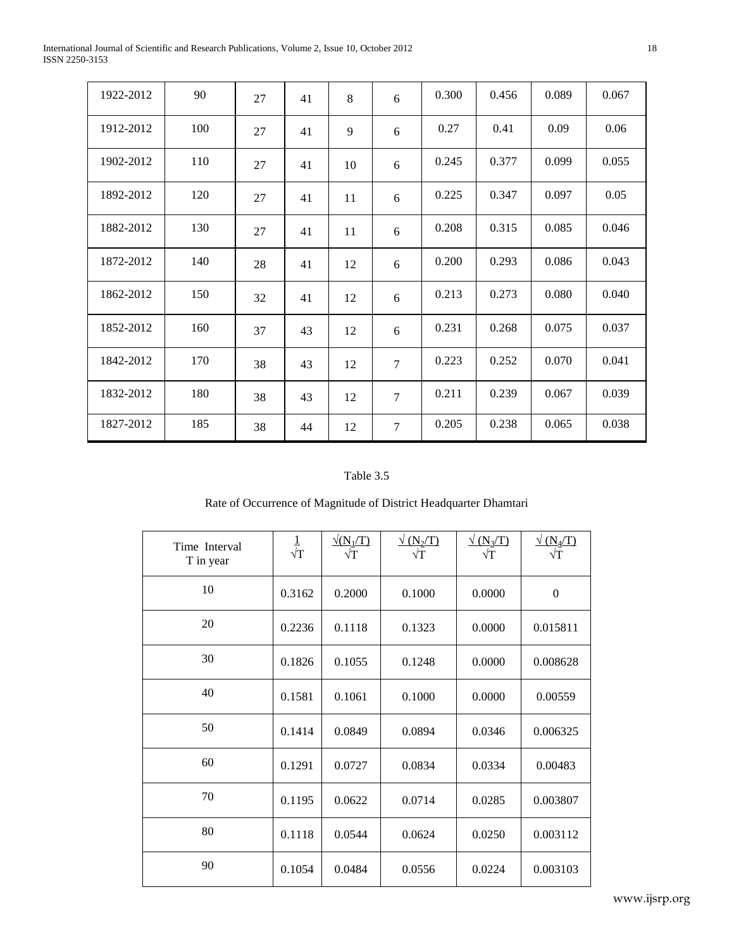International Journal of Scientific and Research Publications, Volume 2, Issue 10, October 2012 18 ISSN 2250-3153

| 1922-2012 | 90  | 27 | 41 | 8  | 6              | 0.300 | 0.456 | 0.089 | 0.067 |
|-----------|-----|----|----|----|----------------|-------|-------|-------|-------|
| 1912-2012 | 100 | 27 | 41 | 9  | 6              | 0.27  | 0.41  | 0.09  | 0.06  |
| 1902-2012 | 110 | 27 | 41 | 10 | 6              | 0.245 | 0.377 | 0.099 | 0.055 |
| 1892-2012 | 120 | 27 | 41 | 11 | 6              | 0.225 | 0.347 | 0.097 | 0.05  |
| 1882-2012 | 130 | 27 | 41 | 11 | 6              | 0.208 | 0.315 | 0.085 | 0.046 |
| 1872-2012 | 140 | 28 | 41 | 12 | 6              | 0.200 | 0.293 | 0.086 | 0.043 |
| 1862-2012 | 150 | 32 | 41 | 12 | 6              | 0.213 | 0.273 | 0.080 | 0.040 |
| 1852-2012 | 160 | 37 | 43 | 12 | 6              | 0.231 | 0.268 | 0.075 | 0.037 |
| 1842-2012 | 170 | 38 | 43 | 12 | $\overline{7}$ | 0.223 | 0.252 | 0.070 | 0.041 |
| 1832-2012 | 180 | 38 | 43 | 12 | $\overline{7}$ | 0.211 | 0.239 | 0.067 | 0.039 |
| 1827-2012 | 185 | 38 | 44 | 12 | $\overline{7}$ | 0.205 | 0.238 | 0.065 | 0.038 |

# Table 3.5

# Rate of Occurrence of Magnitude of District Headquarter Dhamtari

| Time Interval<br>T in year | $\frac{1}{\sqrt{T}}$ | $\sqrt{(N_1/T)}$<br>$\sqrt{T}$ | $\sqrt{(N_2/T)}$ | $\sqrt{(N_3/T)}$ | $\sqrt{(N_4/T)}$<br>$\sqrt{T}$ |
|----------------------------|----------------------|--------------------------------|------------------|------------------|--------------------------------|
| 10                         | 0.3162               | 0.2000                         | 0.1000           | 0.0000           | $\overline{0}$                 |
| 20                         | 0.2236               | 0.1118                         | 0.1323           | 0.0000           | 0.015811                       |
| 30                         | 0.1826               | 0.1055                         | 0.1248           | 0.0000           | 0.008628                       |
| 40                         | 0.1581               | 0.1061                         | 0.1000           | 0.0000           | 0.00559                        |
| 50                         | 0.1414               | 0.0849                         | 0.0894           | 0.0346           | 0.006325                       |
| 60                         | 0.1291               | 0.0727                         | 0.0834           | 0.0334           | 0.00483                        |
| 70                         | 0.1195               | 0.0622                         | 0.0714           | 0.0285           | 0.003807                       |
| 80                         | 0.1118               | 0.0544                         | 0.0624           | 0.0250           | 0.003112                       |
| 90                         | 0.1054               | 0.0484                         | 0.0556           | 0.0224           | 0.003103                       |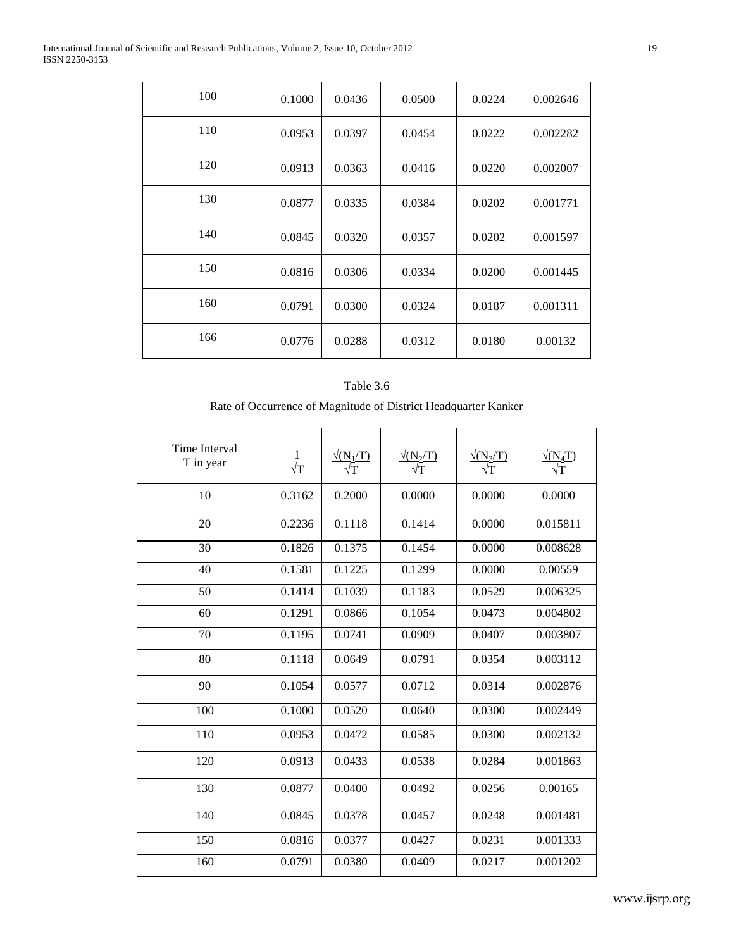| 100 | 0.1000 | 0.0436 | 0.0500 | 0.0224 | 0.002646 |
|-----|--------|--------|--------|--------|----------|
| 110 | 0.0953 | 0.0397 | 0.0454 | 0.0222 | 0.002282 |
| 120 | 0.0913 | 0.0363 | 0.0416 | 0.0220 | 0.002007 |
| 130 | 0.0877 | 0.0335 | 0.0384 | 0.0202 | 0.001771 |
| 140 | 0.0845 | 0.0320 | 0.0357 | 0.0202 | 0.001597 |
| 150 | 0.0816 | 0.0306 | 0.0334 | 0.0200 | 0.001445 |
| 160 | 0.0791 | 0.0300 | 0.0324 | 0.0187 | 0.001311 |
| 166 | 0.0776 | 0.0288 | 0.0312 | 0.0180 | 0.00132  |

### Table 3.6

# Rate of Occurrence of Magnitude of District Headquarter Kanker

| <b>Time Interval</b><br>T in year | $\frac{1}{\sqrt{T}}$ | $\frac{\sqrt{(N_1/T)}}{\sqrt{T}}$ | $\sqrt{\rm (N_2/T)}$ | $\sqrt{\rm (N_3/T)}$ | $\sqrt{\rm (N_4T)}$ |
|-----------------------------------|----------------------|-----------------------------------|----------------------|----------------------|---------------------|
| 10                                | 0.3162               | 0.2000                            | 0.0000               | 0.0000               | 0.0000              |
| 20                                | 0.2236               | 0.1118                            | 0.1414               | 0.0000               | 0.015811            |
| 30                                | 0.1826               | 0.1375                            | 0.1454               | 0.0000               | 0.008628            |
| 40                                | 0.1581               | 0.1225                            | 0.1299               | 0.0000               | 0.00559             |
| 50                                | 0.1414               | 0.1039                            | 0.1183               | 0.0529               | 0.006325            |
| 60                                | 0.1291               | 0.0866                            | 0.1054               | 0.0473               | 0.004802            |
| 70                                | 0.1195               | 0.0741                            | 0.0909               | 0.0407               | 0.003807            |
| 80                                | 0.1118               | 0.0649                            | 0.0791               | 0.0354               | 0.003112            |
| 90                                | 0.1054               | 0.0577                            | 0.0712               | 0.0314               | 0.002876            |
| 100                               | 0.1000               | 0.0520                            | 0.0640               | 0.0300               | 0.002449            |
| 110                               | 0.0953               | 0.0472                            | 0.0585               | 0.0300               | 0.002132            |
| 120                               | 0.0913               | 0.0433                            | 0.0538               | 0.0284               | 0.001863            |
| 130                               | 0.0877               | 0.0400                            | 0.0492               | 0.0256               | 0.00165             |
| 140                               | 0.0845               | 0.0378                            | 0.0457               | 0.0248               | 0.001481            |
| 150                               | 0.0816               | 0.0377                            | 0.0427               | 0.0231               | 0.001333            |
| 160                               | 0.0791               | 0.0380                            | 0.0409               | 0.0217               | 0.001202            |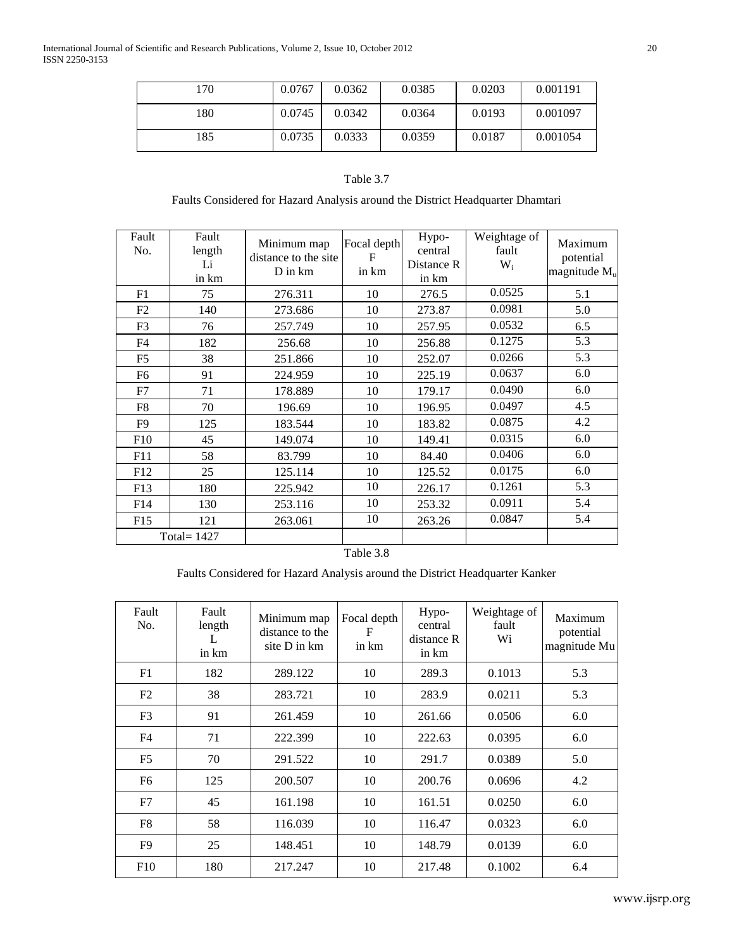| 170 | 0.0767 | 0.0362 | 0.0385 | 0.0203 | 0.001191 |
|-----|--------|--------|--------|--------|----------|
| 180 | 0.0745 | 0.0342 | 0.0364 | 0.0193 | 0.001097 |
| 185 | 0.0735 | 0.0333 | 0.0359 | 0.0187 | 0.001054 |

## Table 3.7

### Faults Considered for Hazard Analysis around the District Headquarter Dhamtari

| Fault<br>No.    | Fault<br>length<br>Li<br>in km | Minimum map<br>distance to the site<br>D in km | Focal depth<br>F<br>in km | Hypo-<br>central<br>Distance R<br>in km | Weightage of<br>fault<br>$W_i$ | Maximum<br>potential<br>magnitude $M_{u}$ |
|-----------------|--------------------------------|------------------------------------------------|---------------------------|-----------------------------------------|--------------------------------|-------------------------------------------|
| F1              | 75                             | 276.311                                        | 10                        | 276.5                                   | 0.0525                         | 5.1                                       |
| F2              | 140                            | 273.686                                        | 10                        | 273.87                                  | 0.0981                         | 5.0                                       |
| F <sub>3</sub>  | 76                             | 257.749                                        | 10                        | 257.95                                  | 0.0532                         | 6.5                                       |
| F4              | 182                            | 256.68                                         | 10                        | 256.88                                  | 0.1275                         | 5.3                                       |
| F <sub>5</sub>  | 38                             | 251.866                                        | 10                        | 252.07                                  | 0.0266                         | 5.3                                       |
| F6              | 91                             | 224.959                                        | 10                        | 225.19                                  | 0.0637                         | 6.0                                       |
| F7              | 71                             | 178.889                                        | 10                        | 179.17                                  | 0.0490                         | 6.0                                       |
| F8              | 70                             | 196.69                                         | 10                        | 196.95                                  | 0.0497                         | 4.5                                       |
| F <sub>9</sub>  | 125                            | 183.544                                        | 10                        | 183.82                                  | 0.0875                         | 4.2                                       |
| F10             | 45                             | 149.074                                        | 10                        | 149.41                                  | 0.0315                         | 6.0                                       |
| F11             | 58                             | 83.799                                         | 10                        | 84.40                                   | 0.0406                         | 6.0                                       |
| F <sub>12</sub> | 25                             | 125.114                                        | 10                        | 125.52                                  | 0.0175                         | 6.0                                       |
| F <sub>13</sub> | 180                            | 225.942                                        | 10                        | 226.17                                  | 0.1261                         | 5.3                                       |
| F14             | 130                            | 253.116                                        | 10                        | 253.32                                  | 0.0911                         | 5.4                                       |
| F15             | 121                            | 263.061                                        | 10                        | 263.26                                  | 0.0847                         | 5.4                                       |
|                 | Total= $1427$                  |                                                |                           |                                         |                                |                                           |

### Table 3.8

# Faults Considered for Hazard Analysis around the District Headquarter Kanker

| Fault<br>No.   | Fault<br>length<br>L<br>in km | Minimum map<br>distance to the<br>site D in km | Focal depth<br>F<br>in km | Hypo-<br>central<br>distance R<br>in km | Weightage of<br>fault<br>Wi | Maximum<br>potential<br>magnitude Mu |
|----------------|-------------------------------|------------------------------------------------|---------------------------|-----------------------------------------|-----------------------------|--------------------------------------|
| F1             | 182                           | 289.122                                        | 10                        | 289.3                                   | 0.1013                      | 5.3                                  |
| F2             | 38                            | 283.721                                        | 10                        | 283.9                                   | 0.0211                      | 5.3                                  |
| F <sub>3</sub> | 91                            | 261.459                                        | 10                        | 261.66                                  | 0.0506                      | 6.0                                  |
| F4             | 71                            | 222.399                                        | 10                        | 222.63                                  | 0.0395                      | 6.0                                  |
| F <sub>5</sub> | 70                            | 291.522                                        | 10                        | 291.7                                   | 0.0389                      | 5.0                                  |
| F <sub>6</sub> | 125                           | 200.507                                        | 10                        | 200.76                                  | 0.0696                      | 4.2                                  |
| F7             | 45                            | 161.198                                        | 10                        | 161.51                                  | 0.0250                      | 6.0                                  |
| F8             | 58                            | 116.039                                        | 10                        | 116.47                                  | 0.0323                      | 6.0                                  |
| F9             | 25                            | 148.451                                        | 10                        | 148.79                                  | 0.0139                      | 6.0                                  |
| F10            | 180                           | 217.247                                        | 10                        | 217.48                                  | 0.1002                      | 6.4                                  |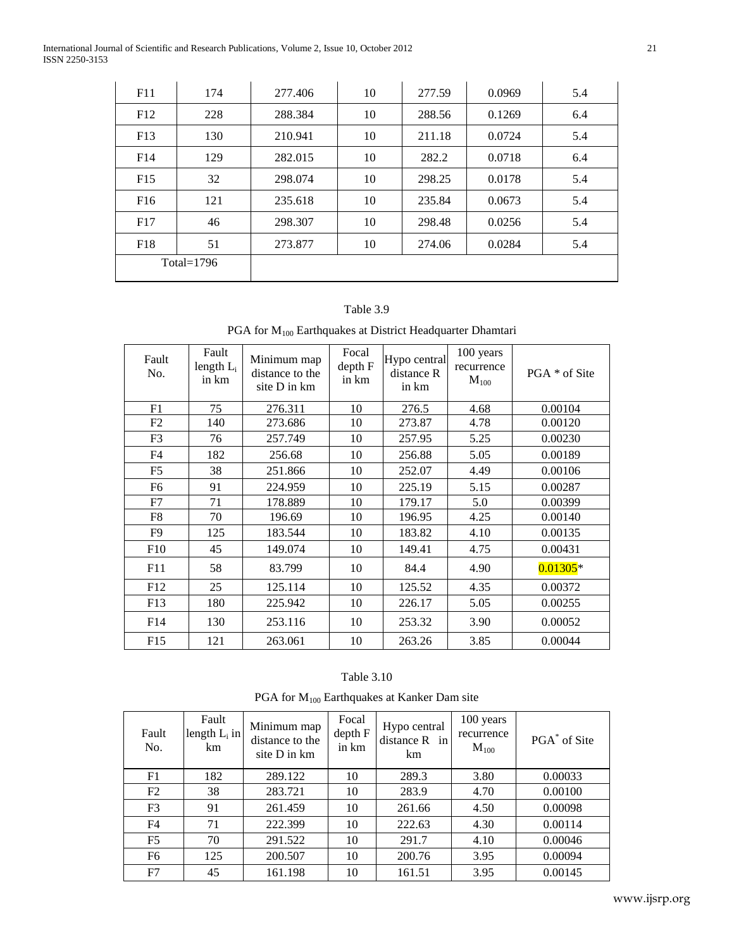International Journal of Scientific and Research Publications, Volume 2, Issue 10, October 2012 21 ISSN 2250-3153

| F11           | 174 | 277.406 | 10 | 277.59 | 0.0969 | 5.4 |
|---------------|-----|---------|----|--------|--------|-----|
| F12           | 228 | 288.384 | 10 | 288.56 | 0.1269 | 6.4 |
| F13           | 130 | 210.941 | 10 | 211.18 | 0.0724 | 5.4 |
| F14           | 129 | 282.015 | 10 | 282.2  | 0.0718 | 6.4 |
| F15           | 32  | 298.074 | 10 | 298.25 | 0.0178 | 5.4 |
| F16           | 121 | 235.618 | 10 | 235.84 | 0.0673 | 5.4 |
| F17           | 46  | 298.307 | 10 | 298.48 | 0.0256 | 5.4 |
| F18           | 51  | 273.877 | 10 | 274.06 | 0.0284 | 5.4 |
| Total= $1796$ |     |         |    |        |        |     |

### Table 3.9

# PGA for  $M_{100}$  Earthquakes at District Headquarter Dhamtari

| Fault<br>No.   | Fault<br>length $L_i$<br>in km | Minimum map<br>distance to the<br>site D in km | Focal<br>depth F<br>in km | Hypo central<br>distance R<br>in km | 100 years<br>recurrence<br>$M_{100}$ | PGA * of Site |
|----------------|--------------------------------|------------------------------------------------|---------------------------|-------------------------------------|--------------------------------------|---------------|
| F1             | 75                             | 276.311                                        | 10                        | 276.5                               | 4.68                                 | 0.00104       |
| F2             | 140                            | 273.686                                        | 10                        | 273.87                              | 4.78                                 | 0.00120       |
| F <sub>3</sub> | 76                             | 257.749                                        | 10                        | 257.95                              | 5.25                                 | 0.00230       |
| F <sub>4</sub> | 182                            | 256.68                                         | 10                        | 256.88                              | 5.05                                 | 0.00189       |
| F <sub>5</sub> | 38                             | 251.866                                        | 10                        | 252.07                              | 4.49                                 | 0.00106       |
| F6             | 91                             | 224.959                                        | 10                        | 225.19                              | 5.15                                 | 0.00287       |
| F7             | 71                             | 178.889                                        | 10                        | 179.17                              | 5.0                                  | 0.00399       |
| F8             | 70                             | 196.69                                         | 10                        | 196.95                              | 4.25                                 | 0.00140       |
| F <sub>9</sub> | 125                            | 183.544                                        | 10                        | 183.82                              | 4.10                                 | 0.00135       |
| F10            | 45                             | 149.074                                        | 10                        | 149.41                              | 4.75                                 | 0.00431       |
| F11            | 58                             | 83.799                                         | 10                        | 84.4                                | 4.90                                 | $0.01305*$    |
| F12            | 25                             | 125.114                                        | 10                        | 125.52                              | 4.35                                 | 0.00372       |
| F13            | 180                            | 225.942                                        | 10                        | 226.17                              | 5.05                                 | 0.00255       |
| F14            | 130                            | 253.116                                        | 10                        | 253.32                              | 3.90                                 | 0.00052       |
| F15            | 121                            | 263.061                                        | 10                        | 263.26                              | 3.85                                 | 0.00044       |

| Table 3.10 |  |
|------------|--|
|            |  |

PGA for  $M_{100}$  Earthquakes at Kanker Dam site

| Fault<br>No.   | Fault<br>length $L_i$ in<br>km | Minimum map<br>distance to the<br>site D in km | Focal<br>depth F<br>in km | Hypo central<br>distance $R$ in<br>km | 100 years<br>recurrence<br>$M_{100}$ | PGA <sup>*</sup> of Site |
|----------------|--------------------------------|------------------------------------------------|---------------------------|---------------------------------------|--------------------------------------|--------------------------|
| F1             | 182                            | 289.122                                        | 10                        | 289.3                                 | 3.80                                 | 0.00033                  |
| F2             | 38                             | 283.721                                        | 10                        | 283.9                                 | 4.70                                 | 0.00100                  |
| F <sub>3</sub> | 91                             | 261.459                                        | 10                        | 261.66                                | 4.50                                 | 0.00098                  |
| F4             | 71                             | 222.399                                        | 10                        | 222.63                                | 4.30                                 | 0.00114                  |
| F <sub>5</sub> | 70                             | 291.522                                        | 10                        | 291.7                                 | 4.10                                 | 0.00046                  |
| F6             | 125                            | 200.507                                        | 10                        | 200.76                                | 3.95                                 | 0.00094                  |
| F7             | 45                             | 161.198                                        | 10                        | 161.51                                | 3.95                                 | 0.00145                  |